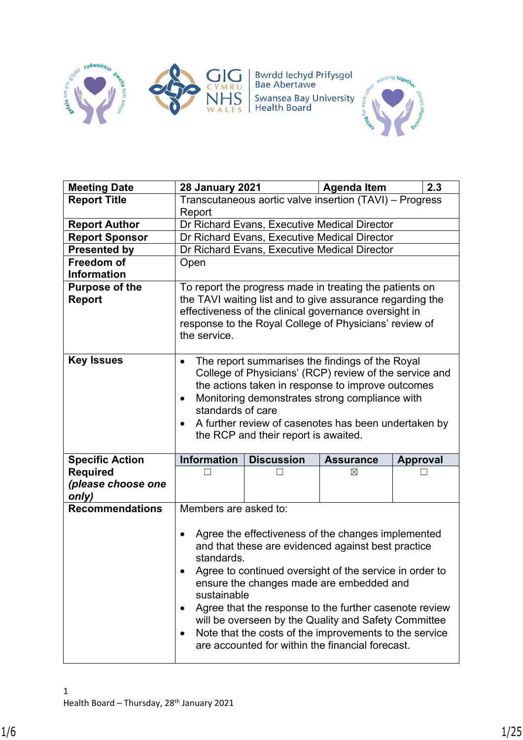

**Bwrdd Iechyd Prifysgol<br>Bae Abertawe** Swansea Bay University<br>Health Board



| <b>Meeting Date</b>             | <b>28 January 2021</b>                                   |                                                                                                                                                                                                                                                                                                                                                                                                                                                 | <b>Agenda Item</b>                                      | 2.3             |  |  |  |  |  |  |
|---------------------------------|----------------------------------------------------------|-------------------------------------------------------------------------------------------------------------------------------------------------------------------------------------------------------------------------------------------------------------------------------------------------------------------------------------------------------------------------------------------------------------------------------------------------|---------------------------------------------------------|-----------------|--|--|--|--|--|--|
| <b>Report Title</b>             |                                                          |                                                                                                                                                                                                                                                                                                                                                                                                                                                 | Transcutaneous aortic valve insertion (TAVI) - Progress |                 |  |  |  |  |  |  |
|                                 | Report                                                   |                                                                                                                                                                                                                                                                                                                                                                                                                                                 |                                                         |                 |  |  |  |  |  |  |
| <b>Report Author</b>            |                                                          | Dr Richard Evans, Executive Medical Director                                                                                                                                                                                                                                                                                                                                                                                                    |                                                         |                 |  |  |  |  |  |  |
| <b>Report Sponsor</b>           |                                                          | Dr Richard Evans, Executive Medical Director                                                                                                                                                                                                                                                                                                                                                                                                    |                                                         |                 |  |  |  |  |  |  |
| <b>Presented by</b>             |                                                          | Dr Richard Evans, Executive Medical Director                                                                                                                                                                                                                                                                                                                                                                                                    |                                                         |                 |  |  |  |  |  |  |
| Freedom of                      | Open                                                     |                                                                                                                                                                                                                                                                                                                                                                                                                                                 |                                                         |                 |  |  |  |  |  |  |
| <b>Information</b>              |                                                          |                                                                                                                                                                                                                                                                                                                                                                                                                                                 |                                                         |                 |  |  |  |  |  |  |
| <b>Purpose of the</b><br>Report | the service.                                             | To report the progress made in treating the patients on<br>the TAVI waiting list and to give assurance regarding the<br>effectiveness of the clinical governance oversight in<br>response to the Royal College of Physicians' review of                                                                                                                                                                                                         |                                                         |                 |  |  |  |  |  |  |
| <b>Key Issues</b>               | $\bullet$<br>$\bullet$<br>standards of care<br>$\bullet$ | The report summarises the findings of the Royal<br>College of Physicians' (RCP) review of the service and<br>the actions taken in response to improve outcomes<br>Monitoring demonstrates strong compliance with<br>A further review of casenotes has been undertaken by<br>the RCP and their report is awaited.                                                                                                                                |                                                         |                 |  |  |  |  |  |  |
| <b>Specific Action</b>          | <b>Information</b>                                       | <b>Discussion</b>                                                                                                                                                                                                                                                                                                                                                                                                                               | <b>Assurance</b>                                        | <b>Approval</b> |  |  |  |  |  |  |
| <b>Required</b>                 |                                                          |                                                                                                                                                                                                                                                                                                                                                                                                                                                 | ⊠                                                       |                 |  |  |  |  |  |  |
| (please choose one<br>only)     |                                                          |                                                                                                                                                                                                                                                                                                                                                                                                                                                 |                                                         |                 |  |  |  |  |  |  |
| <b>Recommendations</b>          | Members are asked to:                                    |                                                                                                                                                                                                                                                                                                                                                                                                                                                 |                                                         |                 |  |  |  |  |  |  |
|                                 | $\bullet$<br>standards.<br>sustainable<br>٠<br>٠         | Agree the effectiveness of the changes implemented<br>and that these are evidenced against best practice<br>Agree to continued oversight of the service in order to<br>ensure the changes made are embedded and<br>Agree that the response to the further casenote review<br>will be overseen by the Quality and Safety Committee<br>Note that the costs of the improvements to the service<br>are accounted for within the financial forecast. |                                                         |                 |  |  |  |  |  |  |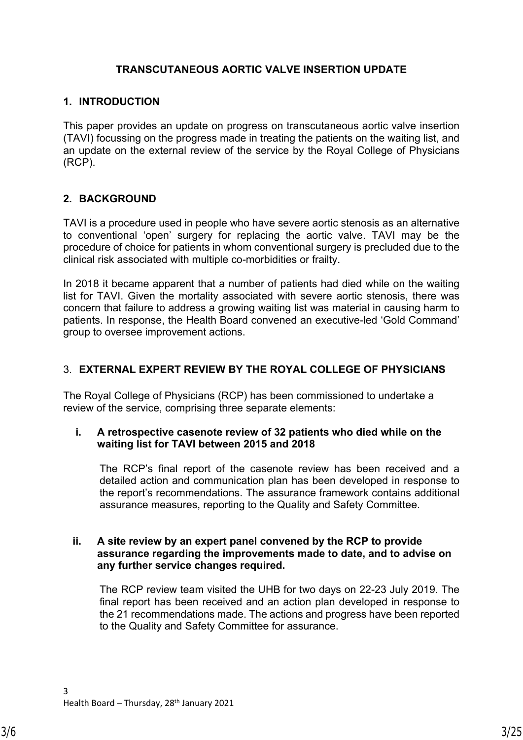## **TRANSCUTANEOUS AORTIC VALVE INSERTION UPDATE**

#### **1. INTRODUCTION**

This paper provides an update on progress on transcutaneous aortic valve insertion (TAVI) focussing on the progress made in treating the patients on the waiting list, and an update on the external review of the service by the Royal College of Physicians (RCP).

## **2. BACKGROUND**

TAVI is a procedure used in people who have severe aortic stenosis as an alternative to conventional 'open' surgery for replacing the aortic valve. TAVI may be the procedure of choice for patients in whom conventional surgery is precluded due to the clinical risk associated with multiple co-morbidities or frailty.

In 2018 it became apparent that a number of patients had died while on the waiting list for TAVI. Given the mortality associated with severe aortic stenosis, there was concern that failure to address a growing waiting list was material in causing harm to patients. In response, the Health Board convened an executive-led 'Gold Command' group to oversee improvement actions.

# 3. **EXTERNAL EXPERT REVIEW BY THE ROYAL COLLEGE OF PHYSICIANS**

The Royal College of Physicians (RCP) has been commissioned to undertake a review of the service, comprising three separate elements:

#### **i. A retrospective casenote review of 32 patients who died while on the waiting list for TAVI between 2015 and 2018**

The RCP's final report of the casenote review has been received and a detailed action and communication plan has been developed in response to the report's recommendations. The assurance framework contains additional assurance measures, reporting to the Quality and Safety Committee.

#### **ii. A site review by an expert panel convened by the RCP to provide assurance regarding the improvements made to date, and to advise on any further service changes required.**

The RCP review team visited the UHB for two days on 22-23 July 2019. The final report has been received and an action plan developed in response to the 21 recommendations made. The actions and progress have been reported to the Quality and Safety Committee for assurance.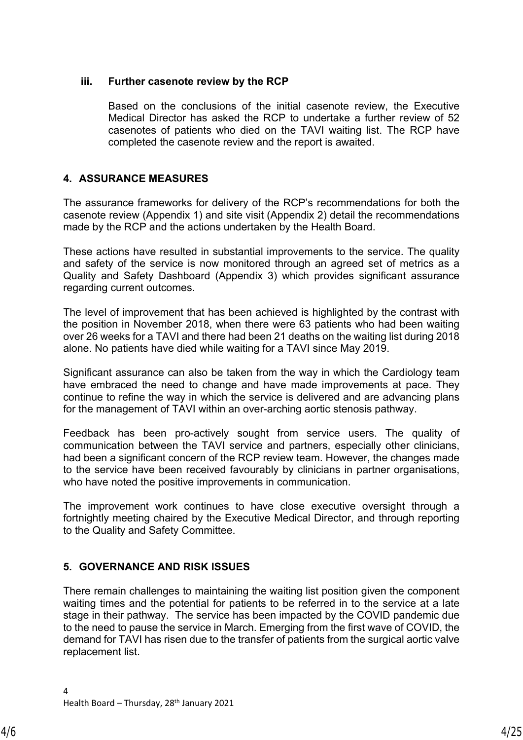#### **iii. Further casenote review by the RCP**

Based on the conclusions of the initial casenote review, the Executive Medical Director has asked the RCP to undertake a further review of 52 casenotes of patients who died on the TAVI waiting list. The RCP have completed the casenote review and the report is awaited.

# **4. ASSURANCE MEASURES**

The assurance frameworks for delivery of the RCP's recommendations for both the casenote review (Appendix 1) and site visit (Appendix 2) detail the recommendations made by the RCP and the actions undertaken by the Health Board.

These actions have resulted in substantial improvements to the service. The quality and safety of the service is now monitored through an agreed set of metrics as a Quality and Safety Dashboard (Appendix 3) which provides significant assurance regarding current outcomes.

The level of improvement that has been achieved is highlighted by the contrast with the position in November 2018, when there were 63 patients who had been waiting over 26 weeks for a TAVI and there had been 21 deaths on the waiting list during 2018 alone. No patients have died while waiting for a TAVI since May 2019.

Significant assurance can also be taken from the way in which the Cardiology team have embraced the need to change and have made improvements at pace. They continue to refine the way in which the service is delivered and are advancing plans for the management of TAVI within an over-arching aortic stenosis pathway.

Feedback has been pro-actively sought from service users. The quality of communication between the TAVI service and partners, especially other clinicians, had been a significant concern of the RCP review team. However, the changes made to the service have been received favourably by clinicians in partner organisations, who have noted the positive improvements in communication.

The improvement work continues to have close executive oversight through a fortnightly meeting chaired by the Executive Medical Director, and through reporting to the Quality and Safety Committee.

## **5. GOVERNANCE AND RISK ISSUES**

There remain challenges to maintaining the waiting list position given the component waiting times and the potential for patients to be referred in to the service at a late stage in their pathway. The service has been impacted by the COVID pandemic due to the need to pause the service in March. Emerging from the first wave of COVID, the demand for TAVI has risen due to the transfer of patients from the surgical aortic valve replacement list.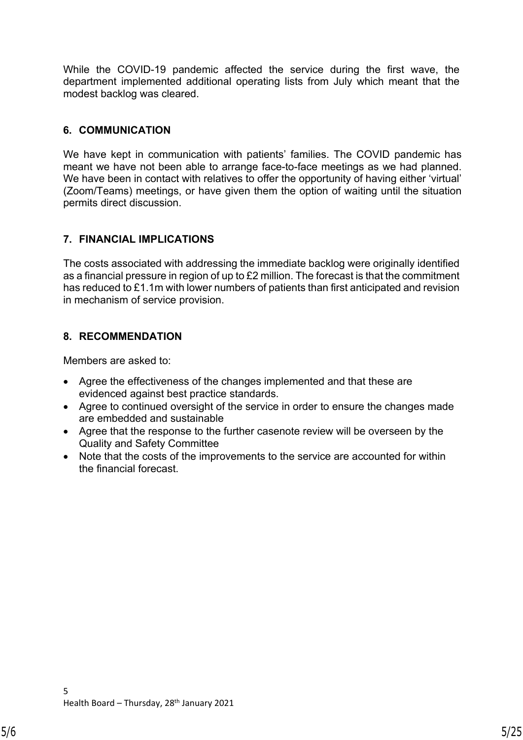While the COVID-19 pandemic affected the service during the first wave, the department implemented additional operating lists from July which meant that the modest backlog was cleared.

# **6. COMMUNICATION**

We have kept in communication with patients' families. The COVID pandemic has meant we have not been able to arrange face-to-face meetings as we had planned. We have been in contact with relatives to offer the opportunity of having either 'virtual' (Zoom/Teams) meetings, or have given them the option of waiting until the situation permits direct discussion.

# **7. FINANCIAL IMPLICATIONS**

The costs associated with addressing the immediate backlog were originally identified as a financial pressure in region of up to £2 million. The forecast is that the commitment has reduced to £1.1m with lower numbers of patients than first anticipated and revision in mechanism of service provision.

# **8. RECOMMENDATION**

Members are asked to:

- Agree the effectiveness of the changes implemented and that these are evidenced against best practice standards.
- Agree to continued oversight of the service in order to ensure the changes made are embedded and sustainable
- Agree that the response to the further casenote review will be overseen by the Quality and Safety Committee
- Note that the costs of the improvements to the service are accounted for within the financial forecast.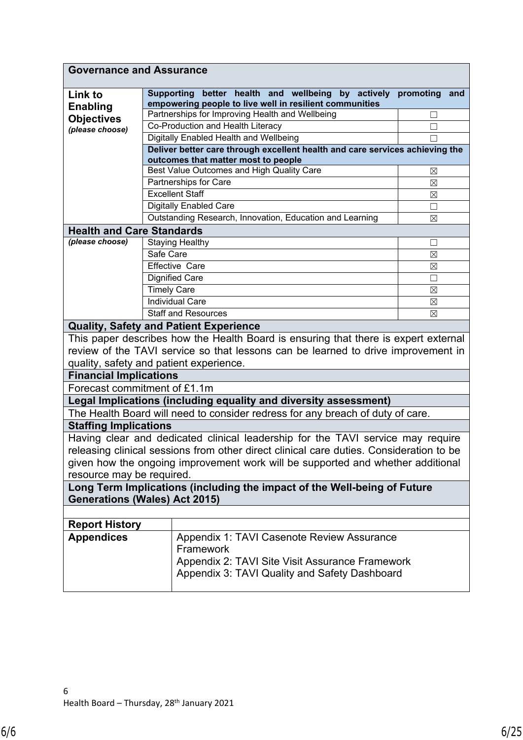|                                  | <b>Governance and Assurance</b>                                                                                     |              |     |  |  |  |  |  |  |
|----------------------------------|---------------------------------------------------------------------------------------------------------------------|--------------|-----|--|--|--|--|--|--|
| Link to<br><b>Enabling</b>       | Supporting better health and wellbeing<br>by actively<br>empowering people to live well in resilient communities    | promoting    | and |  |  |  |  |  |  |
| <b>Objectives</b>                | Partnerships for Improving Health and Wellbeing                                                                     | $\mathbf{I}$ |     |  |  |  |  |  |  |
| (please choose)                  | Co-Production and Health Literacy                                                                                   | □            |     |  |  |  |  |  |  |
|                                  | Digitally Enabled Health and Wellbeing                                                                              | П            |     |  |  |  |  |  |  |
|                                  | Deliver better care through excellent health and care services achieving the<br>outcomes that matter most to people |              |     |  |  |  |  |  |  |
|                                  | Best Value Outcomes and High Quality Care                                                                           | $\boxtimes$  |     |  |  |  |  |  |  |
|                                  | Partnerships for Care                                                                                               | $\boxtimes$  |     |  |  |  |  |  |  |
|                                  | <b>Excellent Staff</b>                                                                                              | $\boxtimes$  |     |  |  |  |  |  |  |
|                                  | <b>Digitally Enabled Care</b>                                                                                       | П            |     |  |  |  |  |  |  |
|                                  | Outstanding Research, Innovation, Education and Learning                                                            | $\boxtimes$  |     |  |  |  |  |  |  |
| <b>Health and Care Standards</b> |                                                                                                                     |              |     |  |  |  |  |  |  |
| (please choose)                  | <b>Staying Healthy</b>                                                                                              | □            |     |  |  |  |  |  |  |
|                                  | Safe Care                                                                                                           | $\boxtimes$  |     |  |  |  |  |  |  |
|                                  | <b>Effective Care</b>                                                                                               | $\boxtimes$  |     |  |  |  |  |  |  |
|                                  | <b>Dignified Care</b>                                                                                               | □            |     |  |  |  |  |  |  |
|                                  | <b>Timely Care</b>                                                                                                  | $\boxtimes$  |     |  |  |  |  |  |  |
|                                  | <b>Individual Care</b>                                                                                              | $\boxtimes$  |     |  |  |  |  |  |  |
|                                  | Staff and Resources                                                                                                 | $\boxtimes$  |     |  |  |  |  |  |  |
|                                  | <b>Quality, Safety and Patient Experience</b>                                                                       |              |     |  |  |  |  |  |  |
|                                  | This paper describes how the Health Board is ensuring that there is expert external                                 |              |     |  |  |  |  |  |  |
|                                  | review of the TAVI service so that lessons can be learned to drive improvement in                                   |              |     |  |  |  |  |  |  |
|                                  | quality, safety and patient experience.                                                                             |              |     |  |  |  |  |  |  |
| <b>Financial Implications</b>    |                                                                                                                     |              |     |  |  |  |  |  |  |
| Forecast commitment of £1.1m     |                                                                                                                     |              |     |  |  |  |  |  |  |
|                                  | Legal Implications (including equality and diversity assessment)                                                    |              |     |  |  |  |  |  |  |
|                                  | The Health Board will need to consider redress for any breach of duty of care.                                      |              |     |  |  |  |  |  |  |
| <b>Staffing Implications</b>     |                                                                                                                     |              |     |  |  |  |  |  |  |
|                                  | Having clear and dedicated clinical leadership for the TAVI service may require                                     |              |     |  |  |  |  |  |  |
|                                  | releasing clinical sessions from other direct clinical care duties. Consideration to be                             |              |     |  |  |  |  |  |  |
|                                  | given how the ongoing improvement work will be supported and whether additional                                     |              |     |  |  |  |  |  |  |
| resource may be required.        |                                                                                                                     |              |     |  |  |  |  |  |  |
|                                  | Long Term Implications (including the impact of the Well-being of Future                                            |              |     |  |  |  |  |  |  |
|                                  | <b>Generations (Wales) Act 2015)</b>                                                                                |              |     |  |  |  |  |  |  |
|                                  |                                                                                                                     |              |     |  |  |  |  |  |  |
| <b>Report History</b>            |                                                                                                                     |              |     |  |  |  |  |  |  |
| <b>Appendices</b>                | Appendix 1: TAVI Casenote Review Assurance                                                                          |              |     |  |  |  |  |  |  |
|                                  | Framework                                                                                                           |              |     |  |  |  |  |  |  |
|                                  | Appendix 2: TAVI Site Visit Assurance Framework                                                                     |              |     |  |  |  |  |  |  |
|                                  | Appendix 3: TAVI Quality and Safety Dashboard                                                                       |              |     |  |  |  |  |  |  |
|                                  |                                                                                                                     |              |     |  |  |  |  |  |  |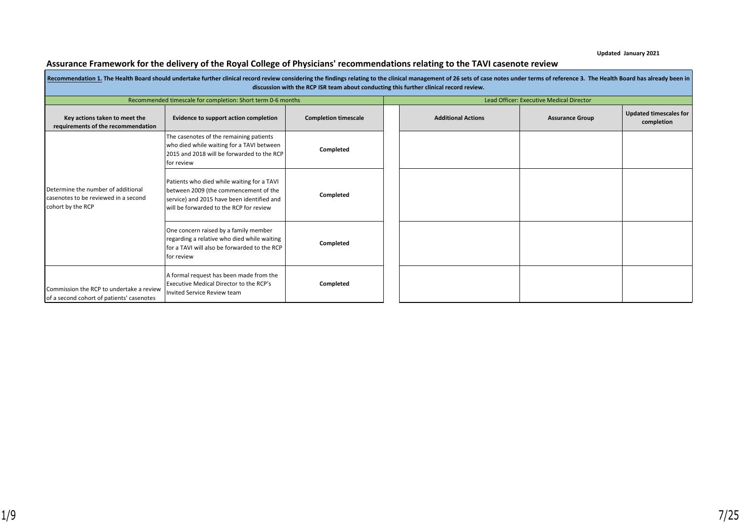**Updated January 2021**

# Assurance Framework for the delivery of the Royal College of Physicians' recommendations relating to the TAVI casenote review

|                                                                                                 | Recommendation 1. The Health Board should undertake further clinical record review considering the findings relating to the clinical management of 26 sets of case notes under terms of reference 3. The Health Board has alre | discussion with the RCP ISR team about conducting this further clinical record review. |                           |                                          |                                             |
|-------------------------------------------------------------------------------------------------|--------------------------------------------------------------------------------------------------------------------------------------------------------------------------------------------------------------------------------|----------------------------------------------------------------------------------------|---------------------------|------------------------------------------|---------------------------------------------|
|                                                                                                 | Recommended timescale for completion: Short term 0-6 months                                                                                                                                                                    |                                                                                        |                           | Lead Officer: Executive Medical Director |                                             |
| Key actions taken to meet the<br>requirements of the recommendation                             | Evidence to support action completion                                                                                                                                                                                          | <b>Completion timescale</b>                                                            | <b>Additional Actions</b> | <b>Assurance Group</b>                   | <b>Updated timescales for</b><br>completion |
|                                                                                                 | The casenotes of the remaining patients<br>who died while waiting for a TAVI between<br>2015 and 2018 will be forwarded to the RCP<br>for review                                                                               | Completed                                                                              |                           |                                          |                                             |
| Determine the number of additional<br>casenotes to be reviewed in a second<br>cohort by the RCP | Patients who died while waiting for a TAVI<br>between 2009 (the commencement of the<br>service) and 2015 have been identified and<br>will be forwarded to the RCP for review                                                   | Completed                                                                              |                           |                                          |                                             |
|                                                                                                 | One concern raised by a family member<br>regarding a relative who died while waiting<br>I for a TAVI will also be forwarded to the RCP<br>I for review                                                                         | Completed                                                                              |                           |                                          |                                             |
| Commission the RCP to undertake a review<br>of a second cohort of patients' casenotes           | A formal request has been made from the<br>Executive Medical Director to the RCP's<br>Invited Service Review team                                                                                                              | Completed                                                                              |                           |                                          |                                             |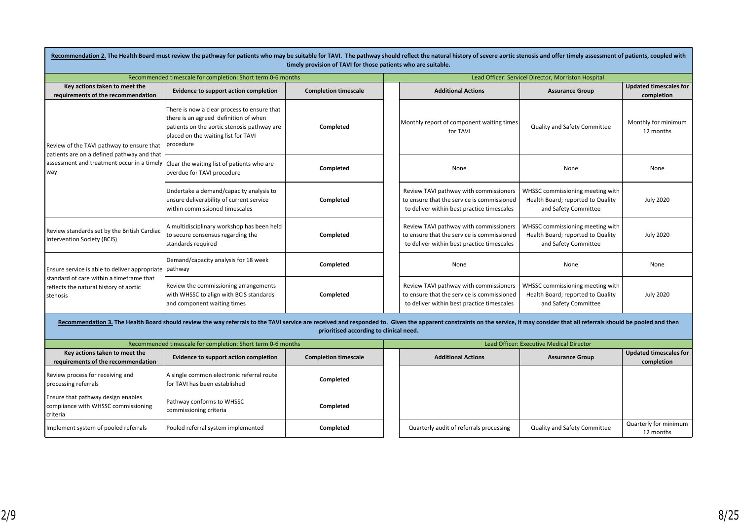|                                                                                                | Recommendation 2. The Health Board must review the pathway for patients who may be suitable for TAVI. The pathway should reflect the natural history of severe aortic stenosis and offer timely assessment of patients, couple | timely provision of TAVI for those patients who are suitable. |  |                                                                                                                                    |                                                                                               |                                             |  |
|------------------------------------------------------------------------------------------------|--------------------------------------------------------------------------------------------------------------------------------------------------------------------------------------------------------------------------------|---------------------------------------------------------------|--|------------------------------------------------------------------------------------------------------------------------------------|-----------------------------------------------------------------------------------------------|---------------------------------------------|--|
|                                                                                                | Recommended timescale for completion: Short term 0-6 months                                                                                                                                                                    |                                                               |  | Lead Officer: Servicel Director, Morriston Hospital                                                                                |                                                                                               |                                             |  |
| Key actions taken to meet the<br>requirements of the recommendation                            | <b>Evidence to support action completion</b>                                                                                                                                                                                   | <b>Completion timescale</b>                                   |  | <b>Additional Actions</b>                                                                                                          | <b>Assurance Group</b>                                                                        | <b>Updated timescales for</b><br>completion |  |
| Review of the TAVI pathway to ensure that<br>patients are on a defined pathway and that        | There is now a clear process to ensure that<br>there is an agreed definition of when<br>patients on the aortic stenosis pathway are<br>placed on the waiting list for TAVI<br>procedure                                        | Completed                                                     |  | Monthly report of component waiting times<br>for TAVI                                                                              | Quality and Safety Committee                                                                  | Monthly for minimum<br>12 months            |  |
| assessment and treatment occur in a timely Clear the waiting list of patients who are<br>way   | overdue for TAVI procedure                                                                                                                                                                                                     | Completed                                                     |  | None                                                                                                                               | None                                                                                          | None                                        |  |
|                                                                                                | Undertake a demand/capacity analysis to<br>ensure deliverability of current service<br>within commissioned timescales                                                                                                          | Completed                                                     |  | Review TAVI pathway with commissioners<br>to ensure that the service is commissioned<br>to deliver within best practice timescales | WHSSC commissioning meeting with<br>Health Board; reported to Quality<br>and Safety Committee | <b>July 2020</b>                            |  |
| Review standards set by the British Cardiac<br>Intervention Society (BCIS)                     | A multidisciplinary workshop has been held<br>to secure consensus regarding the<br>standards required                                                                                                                          | Completed                                                     |  | Review TAVI pathway with commissioners<br>to ensure that the service is commissioned<br>to deliver within best practice timescales | WHSSC commissioning meeting with<br>Health Board; reported to Quality<br>and Safety Committee | <b>July 2020</b>                            |  |
| Ensure service is able to deliver appropriate pathway                                          | Demand/capacity analysis for 18 week                                                                                                                                                                                           | Completed                                                     |  | None                                                                                                                               | None                                                                                          | None                                        |  |
| standard of care within a timeframe that<br>reflects the natural history of aortic<br>stenosis | Review the commissioning arrangements<br>with WHSSC to align with BCIS standards<br>and component waiting times                                                                                                                | Completed                                                     |  | Review TAVI pathway with commissioners<br>to ensure that the service is commissioned<br>to deliver within best practice timescales | WHSSC commissioning meeting with<br>Health Board; reported to Quality<br>and Safety Committee | <b>July 2020</b>                            |  |
|                                                                                                | Recommendation 3. The Health Board should review the way referrals to the TAVI service are received and responded to. Given the apparent constraints on the service, it may consider that all referrals should be pooled and t | prioritised according to clinical need.                       |  |                                                                                                                                    |                                                                                               |                                             |  |
|                                                                                                | Recommended timescale for completion: Short term 0-6 months                                                                                                                                                                    |                                                               |  |                                                                                                                                    | Lead Officer: Executive Medical Director                                                      |                                             |  |
| Key actions taken to meet the<br>requirements of the recommendation                            | <b>Evidence to support action completion</b>                                                                                                                                                                                   | <b>Completion timescale</b>                                   |  | <b>Additional Actions</b>                                                                                                          | <b>Assurance Group</b>                                                                        | <b>Updated timescales for</b><br>completion |  |
| Review process for receiving and<br>processing referrals                                       | A single common electronic referral route<br>for TAVI has been established                                                                                                                                                     | Completed                                                     |  |                                                                                                                                    |                                                                                               |                                             |  |
| Ensure that pathway design enables<br>compliance with WHSSC commissioning<br>criteria          | Pathway conforms to WHSSC<br>commissioning criteria                                                                                                                                                                            | Completed                                                     |  |                                                                                                                                    |                                                                                               |                                             |  |
| Implement system of pooled referrals                                                           | Pooled referral system implemented                                                                                                                                                                                             | Completed                                                     |  | Quarterly audit of referrals processing                                                                                            | Quality and Safety Committee                                                                  | Quarterly for minimum<br>12 months          |  |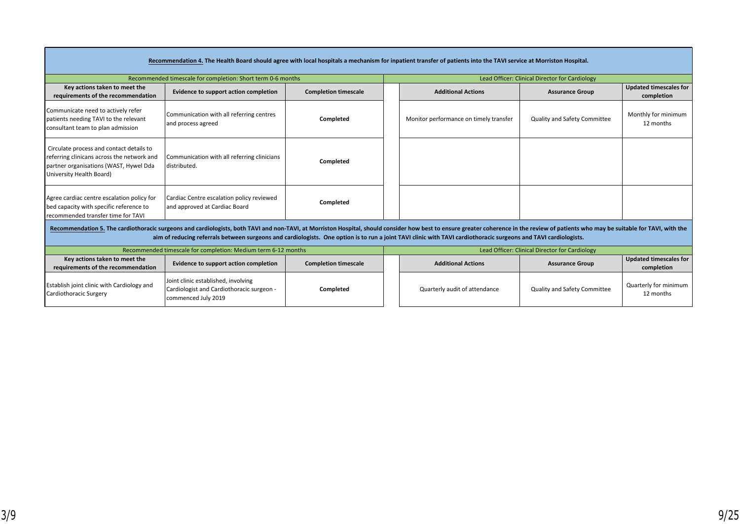|                                                                                                                                                              | Recommendation 4. The Health Board should agree with local hospitals a mechanism for inpatient transfer of patients into the TAVI service at Morriston Hospital.                                                                                                                                                                                                                                   |                             |                                        |                                                |                                             |
|--------------------------------------------------------------------------------------------------------------------------------------------------------------|----------------------------------------------------------------------------------------------------------------------------------------------------------------------------------------------------------------------------------------------------------------------------------------------------------------------------------------------------------------------------------------------------|-----------------------------|----------------------------------------|------------------------------------------------|---------------------------------------------|
|                                                                                                                                                              | Recommended timescale for completion: Short term 0-6 months                                                                                                                                                                                                                                                                                                                                        |                             |                                        | Lead Officer: Clinical Director for Cardiology |                                             |
| Key actions taken to meet the<br>requirements of the recommendation                                                                                          | Evidence to support action completion                                                                                                                                                                                                                                                                                                                                                              | <b>Completion timescale</b> | <b>Additional Actions</b>              | <b>Assurance Group</b>                         | <b>Updated timescales for</b><br>completion |
| Communicate need to actively refer<br>patients needing TAVI to the relevant<br>consultant team to plan admission                                             | Communication with all referring centres<br>and process agreed                                                                                                                                                                                                                                                                                                                                     | Completed                   | Monitor performance on timely transfer | <b>Quality and Safety Committee</b>            | Monthly for minimum<br>12 months            |
| Circulate process and contact details to<br>referring clinicans across the network and<br>partner organisations (WAST, Hywel Dda<br>University Health Board) | Communication with all referring clinicians<br>distributed.                                                                                                                                                                                                                                                                                                                                        | Completed                   |                                        |                                                |                                             |
| Agree cardiac centre escalation policy for<br>bed capacity with specific reference to<br>recommended transfer time for TAVI                                  | Cardiac Centre escalation policy reviewed<br>and approved at Cardiac Board                                                                                                                                                                                                                                                                                                                         | Completed                   |                                        |                                                |                                             |
|                                                                                                                                                              | Recommendation 5. The cardiothoracic surgeons and cardiologists, both TAVI and non-TAVI, at Morriston Hospital, should consider how best to ensure greater coherence in the review of patients who may be suitable for TAVI, w<br>aim of reducing referrals between surgeons and cardiologists. One option is to run a joint TAVI clinic with TAVI cardiothoracic surgeons and TAVI cardiologists. |                             |                                        |                                                |                                             |
|                                                                                                                                                              | Recommended timescale for completion: Medium term 6-12 months                                                                                                                                                                                                                                                                                                                                      |                             |                                        | Lead Officer: Clinical Director for Cardiology |                                             |
| Key actions taken to meet the<br>requirements of the recommendation                                                                                          | Evidence to support action completion                                                                                                                                                                                                                                                                                                                                                              | <b>Completion timescale</b> | <b>Additional Actions</b>              | <b>Assurance Group</b>                         | <b>Updated timescales for</b><br>completion |
| <b>Establish joint clinic with Cardiology and</b><br>Cardiothoracic Surgery                                                                                  | Joint clinic established, involving<br>Cardiologist and Cardiothoracic surgeon -<br>commenced July 2019                                                                                                                                                                                                                                                                                            | Completed                   | Quarterly audit of attendance          | <b>Quality and Safety Committee</b>            | Quarterly for minimum<br>12 months          |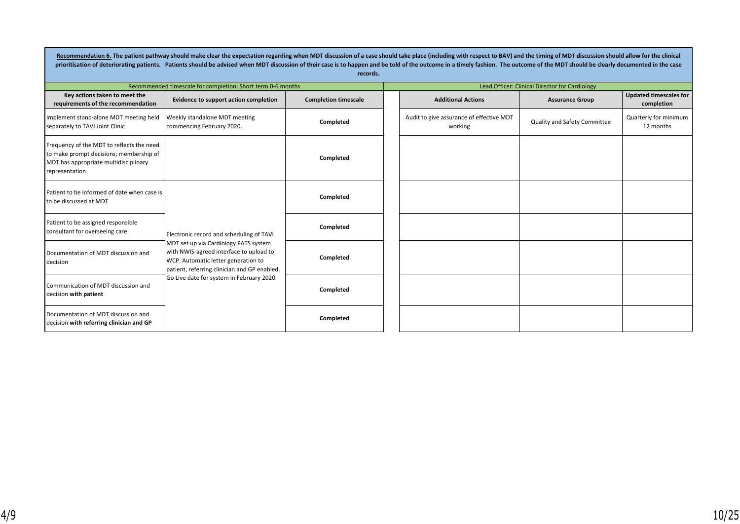Recommendation 6. The patient pathway should make clear the expectation regarding when MDT discussion of a case should take place (including with respect to BAV) and the timing of MDT discussion should allow for the clinic prioritisation of deteriorating patients. Patients should be advised when MDT discussion of their case is to happen and be told of the outcome in a timely fashion. The outcome of the MDT should be clearly documented in the **records.**

|                                                                                                                                                 | Recommended timescale for completion: Short term 0-6 months                                                                                                             |                             |  |                                                     | Lead Officer: Clinical Director for Cardiology |                                             |  |
|-------------------------------------------------------------------------------------------------------------------------------------------------|-------------------------------------------------------------------------------------------------------------------------------------------------------------------------|-----------------------------|--|-----------------------------------------------------|------------------------------------------------|---------------------------------------------|--|
| Key actions taken to meet the<br>requirements of the recommendation                                                                             | Evidence to support action completion                                                                                                                                   | <b>Completion timescale</b> |  | <b>Additional Actions</b>                           | <b>Assurance Group</b>                         | <b>Updated timescales for</b><br>completion |  |
| Implement stand-alone MDT meeting held<br>separately to TAVI Joint Clinic                                                                       | Weekly standalone MDT meeting<br>commencing February 2020.                                                                                                              | Completed                   |  | Audit to give assurance of effective MDT<br>working | Quality and Safety Committee                   | Quarterly for minimum<br>12 months          |  |
| Frequency of the MDT to reflects the need<br>to make prompt decisions; membership of<br>MDT has appropriate multidisciplinary<br>representation |                                                                                                                                                                         | Completed                   |  |                                                     |                                                |                                             |  |
| Patient to be informed of date when case is<br>l to be discussed at MDT                                                                         |                                                                                                                                                                         | Completed                   |  |                                                     |                                                |                                             |  |
| Patient to be assigned responsible<br>consultant for overseeing care                                                                            | Electronic record and scheduling of TAVI                                                                                                                                | Completed                   |  |                                                     |                                                |                                             |  |
| Documentation of MDT discussion and<br>decision                                                                                                 | MDT set up via Cardiology PATS system<br>with NWIS-agreed interface to upload to<br>WCP. Automatic letter generation to<br>patient, referring clinician and GP enabled. | Completed                   |  |                                                     |                                                |                                             |  |
| Communication of MDT discussion and<br>decision with patient                                                                                    | Go Live date for system in February 2020.                                                                                                                               | Completed                   |  |                                                     |                                                |                                             |  |
| Documentation of MDT discussion and<br>decision with referring clinician and GP                                                                 |                                                                                                                                                                         | Completed                   |  |                                                     |                                                |                                             |  |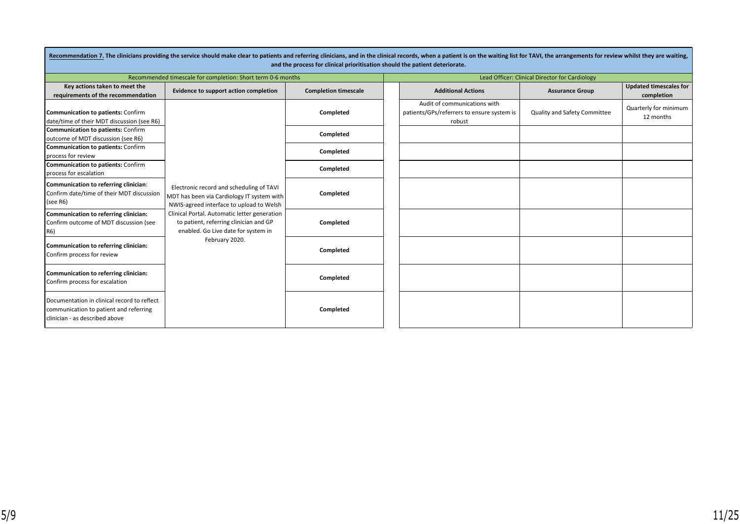|                                                                                                                         | Recommendation 7. The clinicians providing the service should make clear to patients and referring clinicians, and in the clinical records, when a patient is on the waiting list for TAVI, the arrangements for review whilst<br>and the process for clinical prioritisation should the patient deteriorate. |                             |  |                                                                                      |                              |                                             |  |  |
|-------------------------------------------------------------------------------------------------------------------------|---------------------------------------------------------------------------------------------------------------------------------------------------------------------------------------------------------------------------------------------------------------------------------------------------------------|-----------------------------|--|--------------------------------------------------------------------------------------|------------------------------|---------------------------------------------|--|--|
|                                                                                                                         | Recommended timescale for completion: Short term 0-6 months                                                                                                                                                                                                                                                   |                             |  | Lead Officer: Clinical Director for Cardiology                                       |                              |                                             |  |  |
| Key actions taken to meet the<br>requirements of the recommendation                                                     | Evidence to support action completion                                                                                                                                                                                                                                                                         | <b>Completion timescale</b> |  | <b>Additional Actions</b>                                                            | <b>Assurance Group</b>       | <b>Updated timescales for</b><br>completion |  |  |
| <b>Communication to patients: Confirm</b><br>date/time of their MDT discussion (see R6)                                 |                                                                                                                                                                                                                                                                                                               | Completed                   |  | Audit of communications with<br>patients/GPs/referrers to ensure system is<br>robust | Quality and Safety Committee | Quarterly for minimum<br>12 months          |  |  |
| <b>Communication to patients: Confirm</b><br>outcome of MDT discussion (see R6)                                         |                                                                                                                                                                                                                                                                                                               | Completed                   |  |                                                                                      |                              |                                             |  |  |
| <b>Communication to patients: Confirm</b><br>process for review                                                         |                                                                                                                                                                                                                                                                                                               | Completed                   |  |                                                                                      |                              |                                             |  |  |
| <b>Communication to patients: Confirm</b><br>process for escalation                                                     |                                                                                                                                                                                                                                                                                                               | Completed                   |  |                                                                                      |                              |                                             |  |  |
| Communication to referring clinician:<br>Confirm date/time of their MDT discussion<br>(see R6)                          | Electronic record and scheduling of TAVI<br>MDT has been via Cardiology IT system with  <br>NWIS-agreed interface to upload to Welsh                                                                                                                                                                          | Completed                   |  |                                                                                      |                              |                                             |  |  |
| Communication to referring clinician:<br>Confirm outcome of MDT discussion (see<br>R6)                                  | Clinical Portal. Automatic letter generation<br>to patient, referring clinician and GP<br>enabled. Go Live date for system in                                                                                                                                                                                 | Completed                   |  |                                                                                      |                              |                                             |  |  |
| Communication to referring clinician:<br>Confirm process for review                                                     | February 2020.                                                                                                                                                                                                                                                                                                | Completed                   |  |                                                                                      |                              |                                             |  |  |
| Communication to referring clinician:<br>Confirm process for escalation                                                 |                                                                                                                                                                                                                                                                                                               | Completed                   |  |                                                                                      |                              |                                             |  |  |
| Documentation in clinical record to reflect<br>communication to patient and referring<br>clinician - as described above |                                                                                                                                                                                                                                                                                                               | Completed                   |  |                                                                                      |                              |                                             |  |  |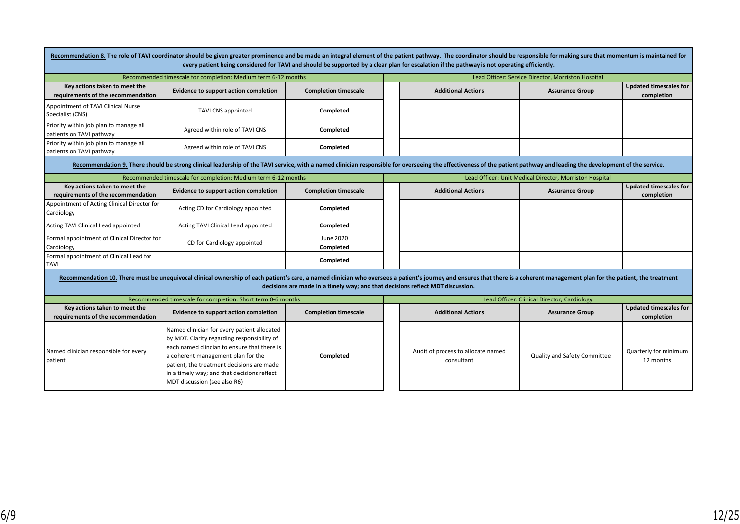|                                                                     | Recommendation 8. The role of TAVI coordinator should be given greater prominence and be made an integral element of the patient pathway. The coordinator should be responsible for making sure that momentum is maintained fo                                                                              |                                                                                | every patient being considered for TAVI and should be supported by a clear plan for escalation if the pathway is not operating efficiently. |                                                         |                                             |
|---------------------------------------------------------------------|-------------------------------------------------------------------------------------------------------------------------------------------------------------------------------------------------------------------------------------------------------------------------------------------------------------|--------------------------------------------------------------------------------|---------------------------------------------------------------------------------------------------------------------------------------------|---------------------------------------------------------|---------------------------------------------|
|                                                                     | Recommended timescale for completion: Medium term 6-12 months                                                                                                                                                                                                                                               |                                                                                |                                                                                                                                             | Lead Officer: Service Director, Morriston Hospital      |                                             |
| Key actions taken to meet the<br>requirements of the recommendation | Evidence to support action completion                                                                                                                                                                                                                                                                       | <b>Completion timescale</b>                                                    | <b>Additional Actions</b>                                                                                                                   | <b>Assurance Group</b>                                  | <b>Updated timescales for</b><br>completion |
| Appointment of TAVI Clinical Nurse<br>Specialist (CNS)              | <b>TAVI CNS appointed</b>                                                                                                                                                                                                                                                                                   | Completed                                                                      |                                                                                                                                             |                                                         |                                             |
| Priority within job plan to manage all<br>patients on TAVI pathway  | Agreed within role of TAVI CNS                                                                                                                                                                                                                                                                              | Completed                                                                      |                                                                                                                                             |                                                         |                                             |
| Priority within job plan to manage all<br>patients on TAVI pathway  | Agreed within role of TAVI CNS                                                                                                                                                                                                                                                                              | Completed                                                                      |                                                                                                                                             |                                                         |                                             |
|                                                                     | Recommendation 9. There should be strong clinical leadership of the TAVI service, with a named clinician responsible for overseeing the effectiveness of the patient pathway and leading the development of the service.                                                                                    |                                                                                |                                                                                                                                             |                                                         |                                             |
|                                                                     | Recommended timescale for completion: Medium term 6-12 months                                                                                                                                                                                                                                               |                                                                                |                                                                                                                                             | Lead Officer: Unit Medical Director, Morriston Hospital |                                             |
| Key actions taken to meet the<br>requirements of the recommendation | Evidence to support action completion                                                                                                                                                                                                                                                                       | <b>Completion timescale</b>                                                    | <b>Additional Actions</b>                                                                                                                   | <b>Assurance Group</b>                                  | <b>Updated timescales for</b><br>completion |
| Appointment of Acting Clinical Director for<br>Cardiology           | Acting CD for Cardiology appointed                                                                                                                                                                                                                                                                          | Completed                                                                      |                                                                                                                                             |                                                         |                                             |
| Acting TAVI Clinical Lead appointed                                 | Acting TAVI Clinical Lead appointed                                                                                                                                                                                                                                                                         | Completed                                                                      |                                                                                                                                             |                                                         |                                             |
| Formal appointment of Clinical Director for<br>Cardiology           | CD for Cardiology appointed                                                                                                                                                                                                                                                                                 | June 2020<br>Completed                                                         |                                                                                                                                             |                                                         |                                             |
| Formal appointment of Clinical Lead for<br><b>TAVI</b>              |                                                                                                                                                                                                                                                                                                             | Completed                                                                      |                                                                                                                                             |                                                         |                                             |
|                                                                     | Recommendation 10. There must be unequivocal clinical ownership of each patient's care, a named clinician who oversees a patient's journey and ensures that there is a coherent management plan for the patient, the treatment                                                                              | decisions are made in a timely way; and that decisions reflect MDT discussion. |                                                                                                                                             |                                                         |                                             |
|                                                                     | Recommended timescale for completion: Short term 0-6 months                                                                                                                                                                                                                                                 |                                                                                |                                                                                                                                             | Lead Officer: Clinical Director, Cardiology             |                                             |
| Key actions taken to meet the<br>requirements of the recommendation | Evidence to support action completion                                                                                                                                                                                                                                                                       | <b>Completion timescale</b>                                                    | <b>Additional Actions</b>                                                                                                                   | <b>Assurance Group</b>                                  | <b>Updated timescales for</b><br>completion |
| Named clinician responsible for every<br>patient                    | Named clinician for every patient allocated<br>by MDT. Clarity regarding responsibility of<br>each named clincian to ensure that there is<br>a coherent management plan for the<br>patient, the treatment decisions are made<br>in a timely way; and that decisions reflect<br>MDT discussion (see also R6) | Completed                                                                      | Audit of process to allocate named<br>consultant                                                                                            | Quality and Safety Committee                            | Quarterly for minimum<br>12 months          |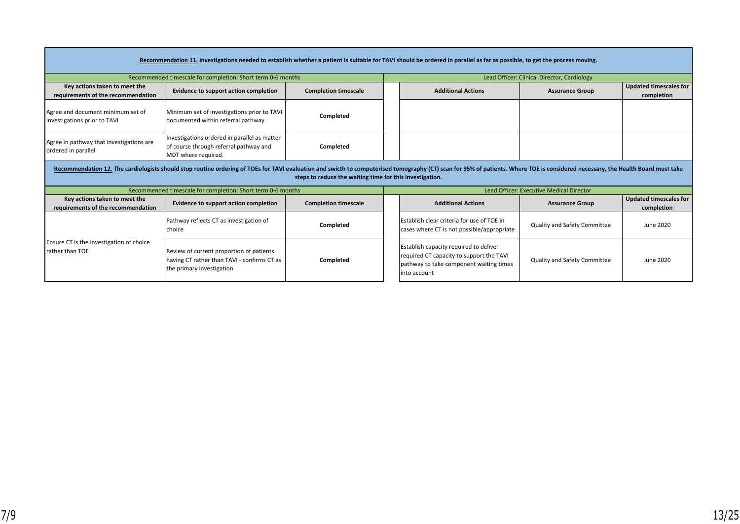|                                                                     | Recommendation 11. Investigations needed to establish whether a patient is suitable for TAVI should be ordered in parallel as far as possible, to get the process moving.                                                      |                                                          |                                                 |                                                                                                                                               |                                             |                                             |
|---------------------------------------------------------------------|--------------------------------------------------------------------------------------------------------------------------------------------------------------------------------------------------------------------------------|----------------------------------------------------------|-------------------------------------------------|-----------------------------------------------------------------------------------------------------------------------------------------------|---------------------------------------------|---------------------------------------------|
|                                                                     | Recommended timescale for completion: Short term 0-6 months                                                                                                                                                                    |                                                          |                                                 |                                                                                                                                               | Lead Officer: Clinical Director, Cardiology |                                             |
| Key actions taken to meet the<br>requirements of the recommendation | Evidence to support action completion                                                                                                                                                                                          | <b>Completion timescale</b>                              |                                                 | <b>Additional Actions</b>                                                                                                                     | <b>Assurance Group</b>                      | <b>Updated timescales for</b><br>completion |
| Agree and document minimum set of<br>investigations prior to TAVI   | Minimum set of investigations prior to TAVI<br>documented within referral pathway.                                                                                                                                             | Completed                                                |                                                 |                                                                                                                                               |                                             |                                             |
| Agree in pathway that investigations are<br>ordered in parallel     | Investigations ordered in parallel as matter<br>of course through referral pathway and<br>MDT where required.                                                                                                                  | Completed                                                |                                                 |                                                                                                                                               |                                             |                                             |
|                                                                     | Recommendation 12. The cardiologists should stop routine ordering of TOEs for TAVI evaluation and swicth to computerised tomography (CT) scan for 95% of patients. Where TOE is considered necessary, the Health Board must ta | steps to reduce the waiting time for this investigation. |                                                 |                                                                                                                                               |                                             |                                             |
|                                                                     | Recommended timescale for completion: Short term 0-6 months                                                                                                                                                                    |                                                          | <b>Lead Officer: Executive Medical Director</b> |                                                                                                                                               |                                             |                                             |
| Key actions taken to meet the<br>requirements of the recommendation | Evidence to support action completion                                                                                                                                                                                          | <b>Completion timescale</b>                              |                                                 | <b>Additional Actions</b>                                                                                                                     | <b>Assurance Group</b>                      | <b>Updated timescales for</b><br>completion |
|                                                                     | Pathway reflects CT as investigation of<br>choice                                                                                                                                                                              | Completed                                                |                                                 | Establish clear criteria for use of TOE in<br>cases where CT is not possible/appropriate                                                      | Quality and Safety Committee                | June 2020                                   |
| Ensure CT is the investigation of choice<br><b>Irather than TOE</b> | Review of current proportion of patients<br>having CT rather than TAVI - confirms CT as<br>the primary investigation                                                                                                           | Completed                                                |                                                 | Establish capacity required to deliver<br>required CT capacity to support the TAVI<br>pathway to take component waiting times<br>into account | Quality and Safety Committee                | June 2020                                   |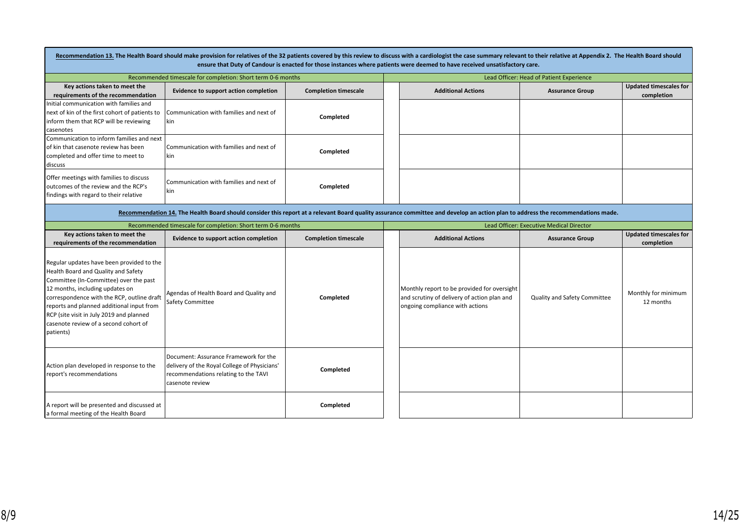|                                                                                                                                                                                                                                                                                                                                                            |                                                                                                                                                  |                             | Recommendation 13. The Health Board should make provision for relatives of the 32 patients covered by this review to discuss with a cardiologist the case summary relevant to their relative at Appendix 2. The Health Board s<br>ensure that Duty of Candour is enacted for those instances where patients were deemed to have received unsatisfactory care. |                                          |                                             |  |
|------------------------------------------------------------------------------------------------------------------------------------------------------------------------------------------------------------------------------------------------------------------------------------------------------------------------------------------------------------|--------------------------------------------------------------------------------------------------------------------------------------------------|-----------------------------|---------------------------------------------------------------------------------------------------------------------------------------------------------------------------------------------------------------------------------------------------------------------------------------------------------------------------------------------------------------|------------------------------------------|---------------------------------------------|--|
|                                                                                                                                                                                                                                                                                                                                                            | Recommended timescale for completion: Short term 0-6 months                                                                                      |                             | Lead Officer: Head of Patient Experience                                                                                                                                                                                                                                                                                                                      |                                          |                                             |  |
| Key actions taken to meet the<br>requirements of the recommendation                                                                                                                                                                                                                                                                                        | Evidence to support action completion                                                                                                            | <b>Completion timescale</b> | <b>Additional Actions</b>                                                                                                                                                                                                                                                                                                                                     | <b>Assurance Group</b>                   | <b>Updated timescales for</b><br>completion |  |
| Initial communication with families and<br>next of kin of the first cohort of patients to<br>inform them that RCP will be reviewing<br>casenotes                                                                                                                                                                                                           | Communication with families and next of<br>  kin                                                                                                 | Completed                   |                                                                                                                                                                                                                                                                                                                                                               |                                          |                                             |  |
| Communication to inform families and next<br>of kin that casenote review has been<br>completed and offer time to meet to<br>discuss                                                                                                                                                                                                                        | Communication with families and next of<br>  kin                                                                                                 | Completed                   |                                                                                                                                                                                                                                                                                                                                                               |                                          |                                             |  |
| Offer meetings with families to discuss<br>outcomes of the review and the RCP's<br>findings with regard to their relative                                                                                                                                                                                                                                  | Communication with families and next of<br>l kin                                                                                                 | Completed                   |                                                                                                                                                                                                                                                                                                                                                               |                                          |                                             |  |
|                                                                                                                                                                                                                                                                                                                                                            |                                                                                                                                                  |                             | Recommendation 14. The Health Board should consider this report at a relevant Board quality assurance committee and develop an action plan to address the recommendations made.                                                                                                                                                                               |                                          |                                             |  |
|                                                                                                                                                                                                                                                                                                                                                            | Recommended timescale for completion: Short term 0-6 months                                                                                      |                             |                                                                                                                                                                                                                                                                                                                                                               | Lead Officer: Executive Medical Director |                                             |  |
| Key actions taken to meet the<br>requirements of the recommendation                                                                                                                                                                                                                                                                                        | Evidence to support action completion                                                                                                            | <b>Completion timescale</b> | <b>Additional Actions</b>                                                                                                                                                                                                                                                                                                                                     | <b>Assurance Group</b>                   | <b>Updated timescales for</b><br>completion |  |
| Regular updates have been provided to the<br>Health Board and Quality and Safety<br>Committee (In-Committee) over the past<br>12 months, including updates on<br>correspondence with the RCP, outline draft<br>reports and planned additional input from<br>RCP (site visit in July 2019 and planned<br>casenote review of a second cohort of<br>patients) | Agendas of Health Board and Quality and<br><b>Safety Committee</b>                                                                               | Completed                   | Monthly report to be provided for oversight<br>and scrutiny of delivery of action plan and<br>ongoing compliance with actions                                                                                                                                                                                                                                 | Quality and Safety Committee             | Monthly for minimum<br>12 months            |  |
| Action plan developed in response to the<br>report's recommendations                                                                                                                                                                                                                                                                                       | Document: Assurance Framework for the<br>delivery of the Royal College of Physicians'<br>recommendations relating to the TAVI<br>casenote review | Completed                   |                                                                                                                                                                                                                                                                                                                                                               |                                          |                                             |  |
| A report will be presented and discussed at<br>a formal meeting of the Health Board                                                                                                                                                                                                                                                                        |                                                                                                                                                  | Completed                   |                                                                                                                                                                                                                                                                                                                                                               |                                          |                                             |  |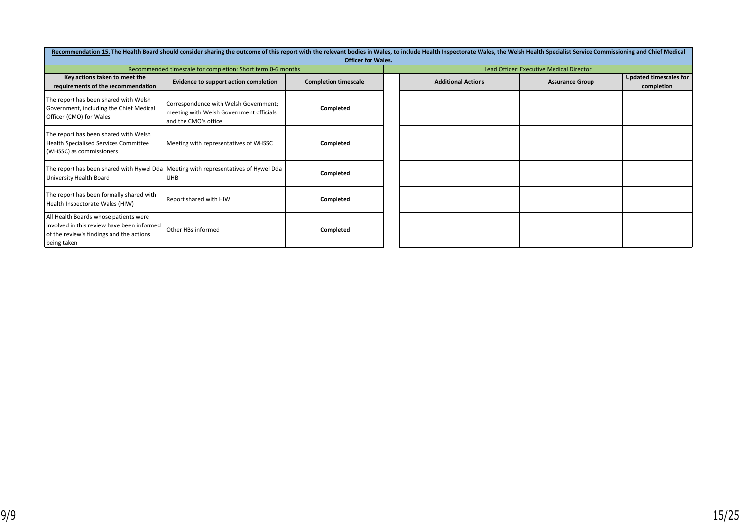| Recommendation 15. The Health Board should consider sharing the outcome of this report with the relevant bodies in Wales, to include Health Inspectorate Wales, the Welsh Health Specialist Service Commissioning and Chief Me<br><b>Officer for Wales.</b> |                                                                                                          |                             |  |                           |                                          |                                             |  |
|-------------------------------------------------------------------------------------------------------------------------------------------------------------------------------------------------------------------------------------------------------------|----------------------------------------------------------------------------------------------------------|-----------------------------|--|---------------------------|------------------------------------------|---------------------------------------------|--|
|                                                                                                                                                                                                                                                             | Recommended timescale for completion: Short term 0-6 months                                              |                             |  |                           | Lead Officer: Executive Medical Director |                                             |  |
| Key actions taken to meet the<br>requirements of the recommendation                                                                                                                                                                                         | Evidence to support action completion                                                                    | <b>Completion timescale</b> |  | <b>Additional Actions</b> | <b>Assurance Group</b>                   | <b>Updated timescales for</b><br>completion |  |
| The report has been shared with Welsh<br>Government, including the Chief Medical<br>Officer (CMO) for Wales                                                                                                                                                 | Correspondence with Welsh Government;<br>meeting with Welsh Government officials<br>and the CMO's office | Completed                   |  |                           |                                          |                                             |  |
| The report has been shared with Welsh<br>Health Specialised Services Committee<br>(WHSSC) as commissioners                                                                                                                                                  | Meeting with representatives of WHSSC                                                                    | Completed                   |  |                           |                                          |                                             |  |
| University Health Board                                                                                                                                                                                                                                     | The report has been shared with Hywel Dda Meeting with representatives of Hywel Dda<br><b>UHB</b>        | Completed                   |  |                           |                                          |                                             |  |
| The report has been formally shared with<br>Health Inspectorate Wales (HIW)                                                                                                                                                                                 | Report shared with HIW                                                                                   | Completed                   |  |                           |                                          |                                             |  |
| All Health Boards whose patients were<br>involved in this review have been informed<br>of the review's findings and the actions<br>being taken                                                                                                              | Other HBs informed                                                                                       | Completed                   |  |                           |                                          |                                             |  |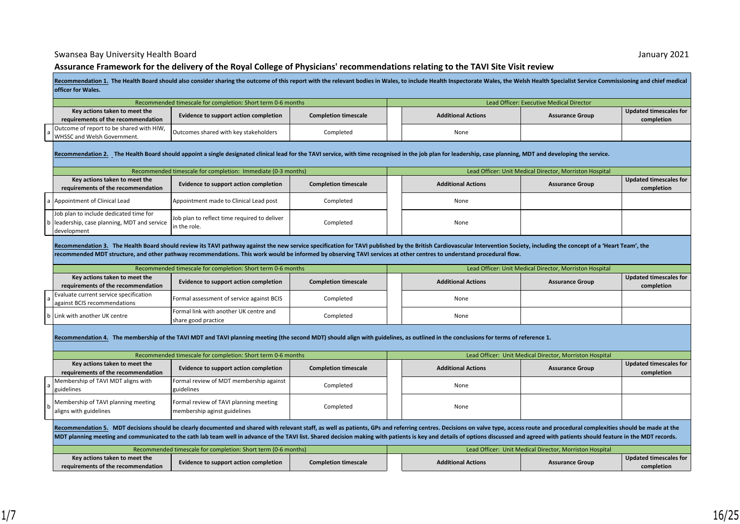#### Assurance Framework for the delivery of the Royal College of Physicians' recommendations relating to the TAVI Site Visit review

|   |                                                                                                     | Recommendation 1. The Health Board should also consider sharing the outcome of this report with the relevant bodies in Wales, to include Health Inspectorate Wales, the Welsh Health Specialist Service Commissioning and chie                                                                                                                                                                                                                                  |                             |  |                           |                                                         |                                             |  |
|---|-----------------------------------------------------------------------------------------------------|-----------------------------------------------------------------------------------------------------------------------------------------------------------------------------------------------------------------------------------------------------------------------------------------------------------------------------------------------------------------------------------------------------------------------------------------------------------------|-----------------------------|--|---------------------------|---------------------------------------------------------|---------------------------------------------|--|
|   | officer for Wales.                                                                                  |                                                                                                                                                                                                                                                                                                                                                                                                                                                                 |                             |  |                           |                                                         |                                             |  |
|   |                                                                                                     | Recommended timescale for completion: Short term 0-6 months                                                                                                                                                                                                                                                                                                                                                                                                     |                             |  |                           | Lead Officer: Executive Medical Director                |                                             |  |
|   | Key actions taken to meet the<br>requirements of the recommendation                                 | Evidence to support action completion                                                                                                                                                                                                                                                                                                                                                                                                                           | <b>Completion timescale</b> |  | <b>Additional Actions</b> | <b>Assurance Group</b>                                  | <b>Updated timescales for</b><br>completion |  |
|   | Outcome of report to be shared with HIW,<br>WHSSC and Welsh Government.                             | Outcomes shared with key stakeholders                                                                                                                                                                                                                                                                                                                                                                                                                           | Completed                   |  | None                      |                                                         |                                             |  |
|   |                                                                                                     | Recommendation 2. The Health Board should appoint a single designated clinical lead for the TAVI service, with time recognised in the job plan for leadership, case planning, MDT and developing the service.                                                                                                                                                                                                                                                   |                             |  |                           |                                                         |                                             |  |
|   |                                                                                                     | Recommended timescale for completion: Immediate (0-3 months)                                                                                                                                                                                                                                                                                                                                                                                                    |                             |  |                           | Lead Officer: Unit Medical Director, Morriston Hospital |                                             |  |
|   | Key actions taken to meet the<br>requirements of the recommendation                                 | Evidence to support action completion                                                                                                                                                                                                                                                                                                                                                                                                                           | <b>Completion timescale</b> |  | <b>Additional Actions</b> | <b>Assurance Group</b>                                  | <b>Updated timescales for</b><br>completion |  |
| a | Appointment of Clinical Lead                                                                        | Appointment made to Clinical Lead post                                                                                                                                                                                                                                                                                                                                                                                                                          | Completed                   |  | None                      |                                                         |                                             |  |
|   | Job plan to include dedicated time for<br>leadership, case planning, MDT and service<br>development | Job plan to reflect time required to deliver<br>in the role.                                                                                                                                                                                                                                                                                                                                                                                                    | Completed                   |  | None                      |                                                         |                                             |  |
|   |                                                                                                     | Recommendation 3. The Health Board should review its TAVI pathway against the new service specification for TAVI published by the British Cardiovascular Intervention Society, including the concept of a 'Heart Team', the<br>recommended MDT structure, and other pathway recommendations. This work would be informed by observing TAVI services at other centres to understand procedural flow.                                                             |                             |  |                           |                                                         |                                             |  |
|   |                                                                                                     | Recommended timescale for completion: Short term 0-6 months                                                                                                                                                                                                                                                                                                                                                                                                     |                             |  |                           | Lead Officer: Unit Medical Director, Morriston Hospital |                                             |  |
|   | Key actions taken to meet the<br>requirements of the recommendation                                 | Evidence to support action completion                                                                                                                                                                                                                                                                                                                                                                                                                           | <b>Completion timescale</b> |  | <b>Additional Actions</b> | <b>Assurance Group</b>                                  | <b>Updated timescales for</b><br>completion |  |
|   | Evaluate current service specification<br>against BCIS recommendations                              | Formal assessment of service against BCIS                                                                                                                                                                                                                                                                                                                                                                                                                       | Completed                   |  | None                      |                                                         |                                             |  |
|   | Link with another UK centre                                                                         | Formal link with another UK centre and<br>share good practice                                                                                                                                                                                                                                                                                                                                                                                                   | Completed                   |  | None                      |                                                         |                                             |  |
|   |                                                                                                     | Recommendation 4. The membership of the TAVI MDT and TAVI planning meeting (the second MDT) should align with guidelines, as outlined in the conclusions for terms of reference 1.                                                                                                                                                                                                                                                                              |                             |  |                           |                                                         |                                             |  |
|   |                                                                                                     | Recommended timescale for completion: Short term 0-6 months                                                                                                                                                                                                                                                                                                                                                                                                     |                             |  |                           | Lead Officer: Unit Medical Director, Morriston Hospital |                                             |  |
|   | Key actions taken to meet the<br>requirements of the recommendation                                 | Evidence to support action completion                                                                                                                                                                                                                                                                                                                                                                                                                           | <b>Completion timescale</b> |  | <b>Additional Actions</b> | <b>Assurance Group</b>                                  | <b>Updated timescales for</b>               |  |
|   |                                                                                                     |                                                                                                                                                                                                                                                                                                                                                                                                                                                                 |                             |  |                           |                                                         | completion                                  |  |
|   | Membership of TAVI MDT aligns with<br>zuidelines                                                    | Formal review of MDT membership against<br>guidelines                                                                                                                                                                                                                                                                                                                                                                                                           | Completed                   |  | None                      |                                                         |                                             |  |
|   | Membership of TAVI planning meeting<br>aligns with guidelines                                       | Formal review of TAVI planning meeting<br>membership aginst guidelines                                                                                                                                                                                                                                                                                                                                                                                          | Completed                   |  | None                      |                                                         |                                             |  |
|   |                                                                                                     | Recommendation 5. MDT decisions should be clearly documented and shared with relevant staff, as well as patients, GPs and referring centres. Decisions on valve type, access route and procedural complexities should be made<br>MDT planning meeting and communicated to the cath lab team well in advance of the TAVI list. Shared decision making with patients is key and details of options discussed and agreed with patients should feature in the MDT r |                             |  |                           |                                                         |                                             |  |
|   |                                                                                                     | Recommended timescale for completion: Short term (0-6 months)                                                                                                                                                                                                                                                                                                                                                                                                   |                             |  |                           | Lead Officer: Unit Medical Director, Morriston Hospital |                                             |  |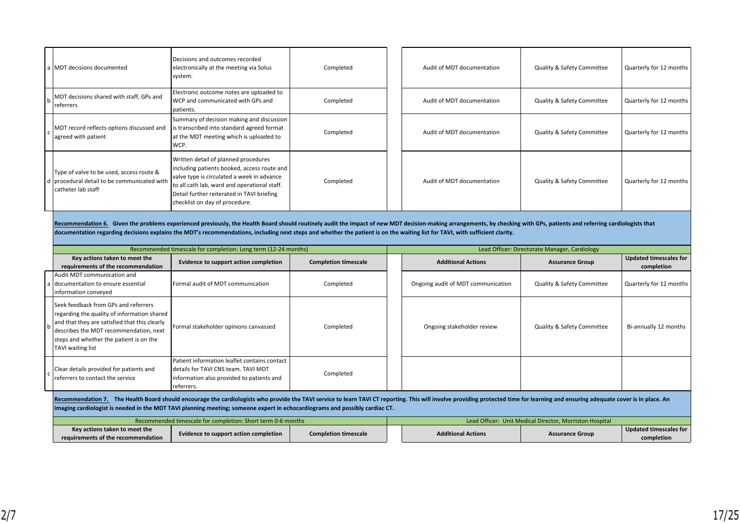| a   MDT decisions documented                                                                                   | Decisions and outcomes recorded<br>electronically at the meeting via Solus<br>system.                                                                                                                                                                             | Completed | Audit of MDT documentation | Quality & Safety Committee            | Quarterly for 12 months |
|----------------------------------------------------------------------------------------------------------------|-------------------------------------------------------------------------------------------------------------------------------------------------------------------------------------------------------------------------------------------------------------------|-----------|----------------------------|---------------------------------------|-------------------------|
| MDT decisions shared with staff, GPs and<br>referrers                                                          | Electronic outcome notes are uploaded to<br>WCP and communicated with GPs and<br>patients.                                                                                                                                                                        | Completed | Audit of MDT documentation | Quality & Safety Committee            | Quarterly for 12 months |
| MDT record reflects options discussed and<br>agreed with patient                                               | Summary of decision making and discussion<br>is transcribed into standard agreed format<br>at the MDT meeting which is uploaded to<br>WCP.                                                                                                                        | Completed | Audit of MDT documentation | <b>Quality &amp; Safety Committee</b> | Quarterly for 12 months |
| Type of valve to be used, access route &<br>d procedural detail to be communicated with<br> catheter lab staff | Written detail of planned procedures<br>including patients booked, access route and<br>valve type is circulated a week in advance<br>to all cath lab, ward and operational staff.<br>Detail further reiterated in TAVI briefing<br>checklist on day of procedure. | Completed | Audit of MDT documentation | Quality & Safety Committee            | Quarterly for 12 months |

Recommendation 6. Given the problems experienced previously, the Health Board should routinely audit the impact of new MDT decision-making arrangements, by checking with GPs, patients and referring cardiologists that documentation regarding decisions explains the MDT's recommendations, including next steps and whether the patient is on the waiting list for TAVI, with sufficient clarity.

|                                                                                                                                                                                                                                                                                                                                                               |                                                                                                                                                                                                                                                | Recommended timescale for completion: Long term (12-24 months)                                                                                   |                             |  |                                    | Lead Officer: Directorate Manager, Cardiology           |                                             |
|---------------------------------------------------------------------------------------------------------------------------------------------------------------------------------------------------------------------------------------------------------------------------------------------------------------------------------------------------------------|------------------------------------------------------------------------------------------------------------------------------------------------------------------------------------------------------------------------------------------------|--------------------------------------------------------------------------------------------------------------------------------------------------|-----------------------------|--|------------------------------------|---------------------------------------------------------|---------------------------------------------|
|                                                                                                                                                                                                                                                                                                                                                               | Key actions taken to meet the<br>requirements of the recommendation                                                                                                                                                                            | Evidence to support action completion                                                                                                            |                             |  | <b>Additional Actions</b>          | <b>Assurance Group</b>                                  | <b>Updated timescales for</b><br>completion |
|                                                                                                                                                                                                                                                                                                                                                               | Audit MDT communication and<br>a Idocumentation to ensure essential<br>information conveyed                                                                                                                                                    | Formal audit of MDT communication                                                                                                                | Completed                   |  | Ongoing audit of MDT communication | Quality & Safety Committee                              | Quarterly for 12 months                     |
| h                                                                                                                                                                                                                                                                                                                                                             | Seek feedback from GPs and referrers<br>regarding the quality of information shared<br>and that they are satisfied that this clearly<br>describes the MDT recommendation, next<br>steps and whether the patient is on the<br>TAVI waiting list | Formal stakeholder opinions canvassed                                                                                                            | Completed                   |  | Ongoing stakeholder review         | Quality & Safety Committee                              | Bi-annually 12 months                       |
|                                                                                                                                                                                                                                                                                                                                                               | Clear details provided for patients and<br>Ireferrers to contact the service                                                                                                                                                                   | Patient information leaflet contains contact<br>l details for TAVI CNS team. TAVI MDT<br>information also provided to patients and<br>referrers. | Completed                   |  |                                    |                                                         |                                             |
| Recommendation 7. The Health Board should encourage the cardiologists who provide the TAVI service to learn TAVI CT reporting. This will involve providing protected time for learning and ensuring adequate cover is in place<br>imaging cardiologist is needed in the MDT TAVI planning meeting; someone expert in echocardiograms and possibly cardiac CT. |                                                                                                                                                                                                                                                |                                                                                                                                                  |                             |  |                                    |                                                         |                                             |
|                                                                                                                                                                                                                                                                                                                                                               |                                                                                                                                                                                                                                                | Recommended timescale for completion: Short term 0-6 months                                                                                      |                             |  |                                    | Lead Officer: Unit Medical Director, Morriston Hospital |                                             |
|                                                                                                                                                                                                                                                                                                                                                               | Key actions taken to meet the<br>requirements of the recommendation                                                                                                                                                                            | Evidence to support action completion                                                                                                            | <b>Completion timescale</b> |  | <b>Additional Actions</b>          | <b>Assurance Group</b>                                  | <b>Updated timescales for</b><br>completion |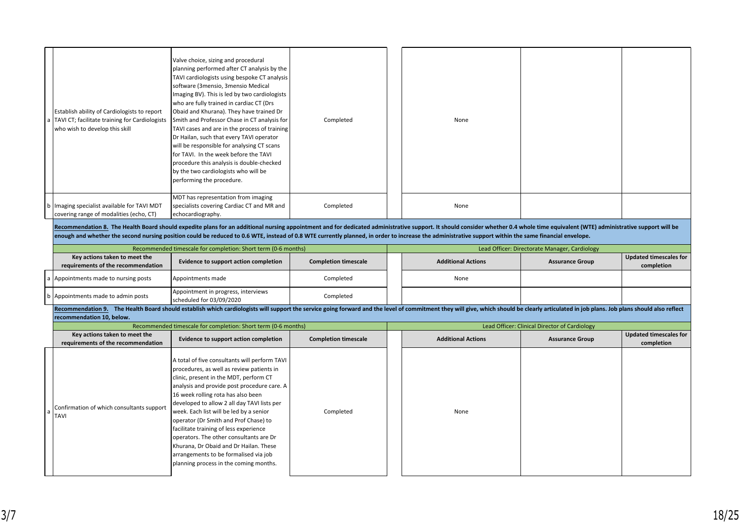| Establish ability of Cardiologists to report<br>a   TAVI CT; facilitate training for Cardiologists<br>who wish to develop this skill | Valve choice, sizing and procedural<br>  planning performed after CT analysis by the  <br>TAVI cardiologists using bespoke CT analysis<br>software (3mensio, 3mensio Medical<br>Imaging BV). This is led by two cardiologists<br>who are fully trained in cardiac CT (Drs<br>Obaid and Khurana). They have trained Dr<br>Smith and Professor Chase in CT analysis for<br>TAVI cases and are in the process of training<br>Dr Hailan, such that every TAVI operator<br>will be responsible for analysing CT scans<br>for TAVI. In the week before the TAVI<br>procedure this analysis is double-checked<br>by the two cardiologists who will be<br>performing the procedure. | Completed | None |  |
|--------------------------------------------------------------------------------------------------------------------------------------|-----------------------------------------------------------------------------------------------------------------------------------------------------------------------------------------------------------------------------------------------------------------------------------------------------------------------------------------------------------------------------------------------------------------------------------------------------------------------------------------------------------------------------------------------------------------------------------------------------------------------------------------------------------------------------|-----------|------|--|
| b   Imaging specialist available for TAVI MDT<br>covering range of modalities (echo, CT)                                             | MDT has representation from imaging<br>specialists covering Cardiac CT and MR and<br>echocardiography.                                                                                                                                                                                                                                                                                                                                                                                                                                                                                                                                                                      | Completed | None |  |

Recommendation 8. The Health Board should expedite plans for an additional nursing appointment and for dedicated administrative support. It should consider whether 0.4 whole time equivalent (WTE) administrative support wil enough and whether the second nursing position could be reduced to 0.6 WTE, instead of 0.8 WTE currently planned, in order to increase the administrative support within the same financial envelope.

|                                                                                                                                                                                                                               | Recommended timescale for completion: Short term (0-6 months)   |                             |  | Lead Officer: Directorate Manager, Cardiology |                        |                        |  |
|-------------------------------------------------------------------------------------------------------------------------------------------------------------------------------------------------------------------------------|-----------------------------------------------------------------|-----------------------------|--|-----------------------------------------------|------------------------|------------------------|--|
| Key actions taken to meet the                                                                                                                                                                                                 | Evidence to support action completion                           | <b>Completion timescale</b> |  | <b>Additional Actions</b>                     | <b>Assurance Group</b> | Updated timescales for |  |
| requirements of the recommendation                                                                                                                                                                                            |                                                                 |                             |  |                                               |                        | completion             |  |
| a Appointments made to nursing posts                                                                                                                                                                                          | Appointments made                                               | Completed                   |  | None                                          |                        |                        |  |
| b   Appointments made to admin posts                                                                                                                                                                                          | Appointment in progress, interviews<br>scheduled for 03/09/2020 | Completed                   |  |                                               |                        |                        |  |
| Recommendation 9. The Health Board should establish which cardiologists will support the service going forward and the level of commitment they will give, which should be clearly articulated in job plans. Job plans should |                                                                 |                             |  |                                               |                        |                        |  |

|                                                                     | Recommended timescale for completion: Short term (0-6 months)                                                                                                                                                                                                                                                                                                                                                                                                                                                                                                                  |                             | Lead Officer: Clinical Director of Cardiology |                           |                        |                                             |  |  |  |  |
|---------------------------------------------------------------------|--------------------------------------------------------------------------------------------------------------------------------------------------------------------------------------------------------------------------------------------------------------------------------------------------------------------------------------------------------------------------------------------------------------------------------------------------------------------------------------------------------------------------------------------------------------------------------|-----------------------------|-----------------------------------------------|---------------------------|------------------------|---------------------------------------------|--|--|--|--|
| Key actions taken to meet the<br>requirements of the recommendation | Evidence to support action completion                                                                                                                                                                                                                                                                                                                                                                                                                                                                                                                                          | <b>Completion timescale</b> |                                               | <b>Additional Actions</b> | <b>Assurance Group</b> | <b>Updated timescales for</b><br>completion |  |  |  |  |
| Confirmation of which consultants support<br>ITAVI                  | A total of five consultants will perform TAVI<br>procedures, as well as review patients in<br>clinic, present in the MDT, perform CT<br>analysis and provide post procedure care. A<br>16 week rolling rota has also been<br>developed to allow 2 all day TAVI lists per<br>week. Each list will be led by a senior<br>operator (Dr Smith and Prof Chase) to<br>facilitate training of less experience<br>operators. The other consultants are Dr<br>Khurana, Dr Obaid and Dr Hailan. These<br>arrangements to be formalised via job<br>planning process in the coming months. | Completed                   |                                               | None                      |                        |                                             |  |  |  |  |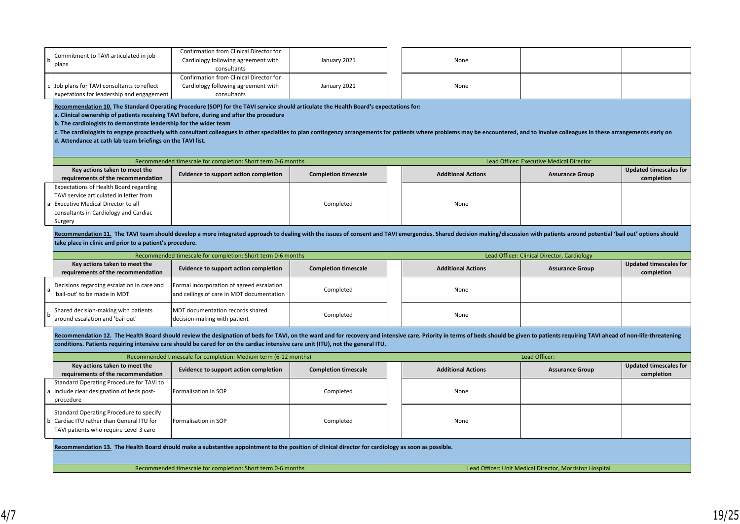| Commitment to TAVI articulated in job                                                   | Confirmation from Clinical Director for<br>Cardiology following agreement with                                                                                                                                                 | January 2021                |  | None                      |                                                         |                                             |
|-----------------------------------------------------------------------------------------|--------------------------------------------------------------------------------------------------------------------------------------------------------------------------------------------------------------------------------|-----------------------------|--|---------------------------|---------------------------------------------------------|---------------------------------------------|
| plans                                                                                   |                                                                                                                                                                                                                                |                             |  |                           |                                                         |                                             |
|                                                                                         | consultants                                                                                                                                                                                                                    |                             |  |                           |                                                         |                                             |
|                                                                                         | Confirmation from Clinical Director for                                                                                                                                                                                        |                             |  |                           |                                                         |                                             |
| Job plans for TAVI consultants to reflect                                               | Cardiology following agreement with                                                                                                                                                                                            | January 2021                |  | None                      |                                                         |                                             |
| expetations for leadership and engagement                                               | consultants                                                                                                                                                                                                                    |                             |  |                           |                                                         |                                             |
| a. Clinical ownership of patients receiving TAVI before, during and after the procedure | Recommendation 10. The Standard Operating Procedure (SOP) for the TAVI service should articulate the Health Board's expectations for:                                                                                          |                             |  |                           |                                                         |                                             |
| b. The cardiologists to demonstrate leadership for the wider team                       |                                                                                                                                                                                                                                |                             |  |                           |                                                         |                                             |
|                                                                                         | c. The cardiologists to engage proactively with consultant colleagues in other specialties to plan contingency arrangements for patients where problems may be encountered, and to involve colleagues in these arrangements ea |                             |  |                           |                                                         |                                             |
| d. Attendance at cath lab team briefings on the TAVI list.                              |                                                                                                                                                                                                                                |                             |  |                           |                                                         |                                             |
|                                                                                         |                                                                                                                                                                                                                                |                             |  |                           |                                                         |                                             |
|                                                                                         |                                                                                                                                                                                                                                |                             |  |                           |                                                         |                                             |
|                                                                                         | Recommended timescale for completion: Short term 0-6 months                                                                                                                                                                    |                             |  |                           | Lead Officer: Executive Medical Director                |                                             |
| Key actions taken to meet the<br>requirements of the recommendation                     | Evidence to support action completion                                                                                                                                                                                          | <b>Completion timescale</b> |  | <b>Additional Actions</b> | <b>Assurance Group</b>                                  | <b>Updated timescales for</b><br>completion |
| <b>Expectations of Health Board regarding</b>                                           |                                                                                                                                                                                                                                |                             |  |                           |                                                         |                                             |
| TAVI service articulated in letter from                                                 |                                                                                                                                                                                                                                |                             |  |                           |                                                         |                                             |
| Executive Medical Director to all                                                       |                                                                                                                                                                                                                                | Completed                   |  | None                      |                                                         |                                             |
| consultants in Cardiology and Cardiac                                                   |                                                                                                                                                                                                                                |                             |  |                           |                                                         |                                             |
| Surgery                                                                                 |                                                                                                                                                                                                                                |                             |  |                           |                                                         |                                             |
|                                                                                         |                                                                                                                                                                                                                                |                             |  |                           |                                                         |                                             |
|                                                                                         | Recommendation 11. The TAVI team should develop a more integrated approach to dealing with the issues of consent and TAVI emergencies. Shared decision making/discussion with patients around potential 'bail out' options sho |                             |  |                           |                                                         |                                             |
| take place in clinic and prior to a patient's procedure.                                |                                                                                                                                                                                                                                |                             |  |                           |                                                         |                                             |
|                                                                                         | Recommended timescale for completion: Short term 0-6 months                                                                                                                                                                    |                             |  |                           | Lead Officer: Clinical Director, Cardiology             |                                             |
| Key actions taken to meet the                                                           | Evidence to support action completion                                                                                                                                                                                          | <b>Completion timescale</b> |  | <b>Additional Actions</b> | <b>Assurance Group</b>                                  | <b>Updated timescales for</b>               |
| requirements of the recommendation                                                      |                                                                                                                                                                                                                                |                             |  |                           |                                                         | completion                                  |
| Decisions regarding escalation in care and                                              | Formal incorporation of agreed escalation                                                                                                                                                                                      | Completed                   |  | None                      |                                                         |                                             |
| bail-out' to be made in MDT                                                             | and ceilings of care in MDT documentation                                                                                                                                                                                      |                             |  |                           |                                                         |                                             |
| Shared decision-making with patients                                                    | MDT documentation records shared                                                                                                                                                                                               |                             |  |                           |                                                         |                                             |
| around escalation and 'bail out'                                                        | decision-making with patient                                                                                                                                                                                                   | Completed                   |  | None                      |                                                         |                                             |
|                                                                                         |                                                                                                                                                                                                                                |                             |  |                           |                                                         |                                             |
|                                                                                         | Recommendation 12. The Health Board should review the designation of beds for TAVI, on the ward and for recovery and intensive care. Priority in terms of beds should be given to patients requiring TAVI ahead of non-life-th |                             |  |                           |                                                         |                                             |
|                                                                                         | conditions. Patients requiring intensive care should be cared for on the cardiac intensive care unit (ITU), not the general ITU.                                                                                               |                             |  |                           |                                                         |                                             |
|                                                                                         |                                                                                                                                                                                                                                |                             |  |                           |                                                         |                                             |
| Key actions taken to meet the                                                           | Recommended timescale for completion: Medium term (6-12 months)                                                                                                                                                                |                             |  |                           | Lead Officer:                                           |                                             |
| requirements of the recommendation                                                      | Evidence to support action completion                                                                                                                                                                                          | <b>Completion timescale</b> |  | <b>Additional Actions</b> | <b>Assurance Group</b>                                  | <b>Updated timescales for</b><br>completion |
| Standard Operating Procedure for TAVI to                                                |                                                                                                                                                                                                                                |                             |  |                           |                                                         |                                             |
| include clear designation of beds post-                                                 | Formalisation in SOP                                                                                                                                                                                                           | Completed                   |  | None                      |                                                         |                                             |
|                                                                                         |                                                                                                                                                                                                                                |                             |  |                           |                                                         |                                             |
| procedure                                                                               |                                                                                                                                                                                                                                |                             |  |                           |                                                         |                                             |
| Standard Operating Procedure to specify                                                 |                                                                                                                                                                                                                                |                             |  |                           |                                                         |                                             |
| Cardiac ITU rather than General ITU for                                                 | Formalisation in SOP                                                                                                                                                                                                           | Completed                   |  | None                      |                                                         |                                             |
| TAVI patients who require Level 3 care                                                  |                                                                                                                                                                                                                                |                             |  |                           |                                                         |                                             |
|                                                                                         |                                                                                                                                                                                                                                |                             |  |                           |                                                         |                                             |
|                                                                                         | Recommendation 13. The Health Board should make a substantive appointment to the position of clinical director for cardiology as soon as possible.                                                                             |                             |  |                           |                                                         |                                             |
|                                                                                         |                                                                                                                                                                                                                                |                             |  |                           |                                                         |                                             |
|                                                                                         | Recommended timescale for completion: Short term 0-6 months                                                                                                                                                                    |                             |  |                           | Lead Officer: Unit Medical Director, Morriston Hospital |                                             |
|                                                                                         |                                                                                                                                                                                                                                |                             |  |                           |                                                         |                                             |
|                                                                                         |                                                                                                                                                                                                                                |                             |  |                           |                                                         |                                             |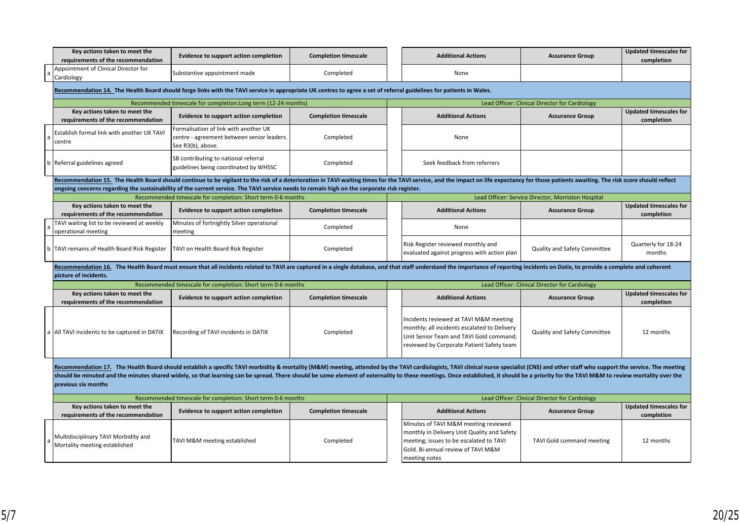|                                                                                                                                                                                                                                                                                                                                                                                                                                                                                         | Key actions taken to meet the<br>requirements of the recommendation   | Evidence to support action completion                                                                                                                                                                                                                                                                                                                                         | <b>Completion timescale</b> |                                                | <b>Additional Actions</b>                                                                                                                                                             | <b>Assurance Group</b>                             | <b>Updated timescales for</b><br>completion |  |  |  |  |
|-----------------------------------------------------------------------------------------------------------------------------------------------------------------------------------------------------------------------------------------------------------------------------------------------------------------------------------------------------------------------------------------------------------------------------------------------------------------------------------------|-----------------------------------------------------------------------|-------------------------------------------------------------------------------------------------------------------------------------------------------------------------------------------------------------------------------------------------------------------------------------------------------------------------------------------------------------------------------|-----------------------------|------------------------------------------------|---------------------------------------------------------------------------------------------------------------------------------------------------------------------------------------|----------------------------------------------------|---------------------------------------------|--|--|--|--|
| l a                                                                                                                                                                                                                                                                                                                                                                                                                                                                                     | Appointment of Clinical Director for<br>Cardiology                    | Substantive appointment made                                                                                                                                                                                                                                                                                                                                                  | Completed                   |                                                | None                                                                                                                                                                                  |                                                    |                                             |  |  |  |  |
|                                                                                                                                                                                                                                                                                                                                                                                                                                                                                         |                                                                       | Recommendation 14. The Health Board should forge links with the TAVI service in appropriate UK centres to agree a set of referral guidelines for patients in Wales.                                                                                                                                                                                                           |                             |                                                |                                                                                                                                                                                       |                                                    |                                             |  |  |  |  |
|                                                                                                                                                                                                                                                                                                                                                                                                                                                                                         |                                                                       | Recommended timescale for completion: Long term (12-24 months)                                                                                                                                                                                                                                                                                                                |                             |                                                | Lead Officer: Clinical Director for Cardiology                                                                                                                                        |                                                    |                                             |  |  |  |  |
|                                                                                                                                                                                                                                                                                                                                                                                                                                                                                         | Key actions taken to meet the<br>requirements of the recommendation   | <b>Evidence to support action completion</b>                                                                                                                                                                                                                                                                                                                                  | <b>Completion timescale</b> |                                                | <b>Additional Actions</b>                                                                                                                                                             | <b>Assurance Group</b>                             | <b>Updated timescales for</b><br>completion |  |  |  |  |
|                                                                                                                                                                                                                                                                                                                                                                                                                                                                                         | Establish formal link with another UK TAVI<br>centre                  | Formalisation of link with another UK<br>centre - agreement between senior leaders.<br>See R3(b), above.                                                                                                                                                                                                                                                                      | Completed                   |                                                | None                                                                                                                                                                                  |                                                    |                                             |  |  |  |  |
| b                                                                                                                                                                                                                                                                                                                                                                                                                                                                                       | Referral guidelines agreed                                            | SB contributing to national referral<br>guidelines being coordinated by WHSSC                                                                                                                                                                                                                                                                                                 | Completed                   |                                                | Seek feedback from referrers                                                                                                                                                          |                                                    |                                             |  |  |  |  |
|                                                                                                                                                                                                                                                                                                                                                                                                                                                                                         |                                                                       | Recommendation 15. The Health Board should continue to be vigilant to the risk of a deterioration in TAVI waiting times for the TAVI service, and the impact on life expectancy for those patients awaiting. The risk score sh<br>ongoing concerns regarding the sustainability of the current service. The TAVI service needs to remain high on the corporate risk register. |                             |                                                |                                                                                                                                                                                       |                                                    |                                             |  |  |  |  |
|                                                                                                                                                                                                                                                                                                                                                                                                                                                                                         |                                                                       | Recommended timescale for completion: Short term 0-6 months                                                                                                                                                                                                                                                                                                                   |                             |                                                |                                                                                                                                                                                       | Lead Officer: Service Director, Morriston Hospital |                                             |  |  |  |  |
|                                                                                                                                                                                                                                                                                                                                                                                                                                                                                         | Key actions taken to meet the<br>requirements of the recommendation   | Evidence to support action completion                                                                                                                                                                                                                                                                                                                                         | <b>Completion timescale</b> |                                                | <b>Additional Actions</b>                                                                                                                                                             | <b>Assurance Group</b>                             | <b>Updated timescales for</b><br>completion |  |  |  |  |
|                                                                                                                                                                                                                                                                                                                                                                                                                                                                                         | TAVI waiting list to be reviewed at weekly<br>operational meeting     | Minutes of fortnightly Silver operational<br>meeting                                                                                                                                                                                                                                                                                                                          | Completed                   |                                                | None                                                                                                                                                                                  |                                                    |                                             |  |  |  |  |
|                                                                                                                                                                                                                                                                                                                                                                                                                                                                                         | b   TAVI remains of Health Board Risk Register                        | TAVI on Health Board Risk Register                                                                                                                                                                                                                                                                                                                                            | Completed                   |                                                | Risk Register reviewed monthly and<br>evaluated against progress with action plan                                                                                                     | Quality and Safety Committee                       | Quarterly for 18-24<br>months               |  |  |  |  |
|                                                                                                                                                                                                                                                                                                                                                                                                                                                                                         | picture of incidents.                                                 | Recommendation 16. The Health Board must ensure that all incidents related to TAVI are captured in a single database, and that staff understand the importance of reporting incidents on Datix, to provide a complete and cohe                                                                                                                                                |                             |                                                |                                                                                                                                                                                       |                                                    |                                             |  |  |  |  |
|                                                                                                                                                                                                                                                                                                                                                                                                                                                                                         |                                                                       | Recommended timescale for completion: Short term 0-6 months                                                                                                                                                                                                                                                                                                                   |                             | Lead Officer: Clinical Director for Cardiology |                                                                                                                                                                                       |                                                    |                                             |  |  |  |  |
|                                                                                                                                                                                                                                                                                                                                                                                                                                                                                         | Key actions taken to meet the<br>requirements of the recommendation   | Evidence to support action completion                                                                                                                                                                                                                                                                                                                                         | <b>Completion timescale</b> |                                                | <b>Additional Actions</b>                                                                                                                                                             | <b>Assurance Group</b>                             | <b>Updated timescales for</b><br>completion |  |  |  |  |
|                                                                                                                                                                                                                                                                                                                                                                                                                                                                                         | All TAVI incidents to be captured in DATIX                            | Recording of TAVI incidents in DATIX                                                                                                                                                                                                                                                                                                                                          | Completed                   |                                                | Incidents reviewed at TAVI M&M meeting<br>monthly; all incidents escalated to Delivery<br>Unit Senior Team and TAVI Gold command;<br>reviewed by Corporate Patient Safety team        | <b>Quality and Safety Committee</b>                | 12 months                                   |  |  |  |  |
| Recommendation 17. The Health Board should establish a specific TAVI morbidity & mortality (M&M) meeting, attended by the TAVI cardiologists, TAVI clinical nurse specialist (CNS) and other staff who support the service. Th<br>should be minuted and the minutes shared widely, so that learning can be spread. There should be some element of externality to these meetings. Once established, it should be a priority for the TAVI M&M to review mortality<br>previous six months |                                                                       |                                                                                                                                                                                                                                                                                                                                                                               |                             |                                                |                                                                                                                                                                                       |                                                    |                                             |  |  |  |  |
|                                                                                                                                                                                                                                                                                                                                                                                                                                                                                         | Recommended timescale for completion: Short term 0-6 months           |                                                                                                                                                                                                                                                                                                                                                                               |                             |                                                |                                                                                                                                                                                       | Lead Officer: Clinical Director for Cardiology     |                                             |  |  |  |  |
|                                                                                                                                                                                                                                                                                                                                                                                                                                                                                         | Key actions taken to meet the<br>requirements of the recommendation   | Evidence to support action completion                                                                                                                                                                                                                                                                                                                                         | <b>Completion timescale</b> |                                                | <b>Additional Actions</b>                                                                                                                                                             | <b>Assurance Group</b>                             | <b>Updated timescales for</b><br>completion |  |  |  |  |
|                                                                                                                                                                                                                                                                                                                                                                                                                                                                                         | Multidisciplinary TAVI Morbidity and<br>Mortality meeting established | TAVI M&M meeting established                                                                                                                                                                                                                                                                                                                                                  | Completed                   |                                                | Minutes of TAVI M&M meeting reviewed<br>monthly in Delivery Unit Quality and Safety<br>meeting; issues to be escalated to TAVI<br>Gold. Bi-annual review of TAVI M&M<br>meeting notes | TAVI Gold command meeting                          | 12 months                                   |  |  |  |  |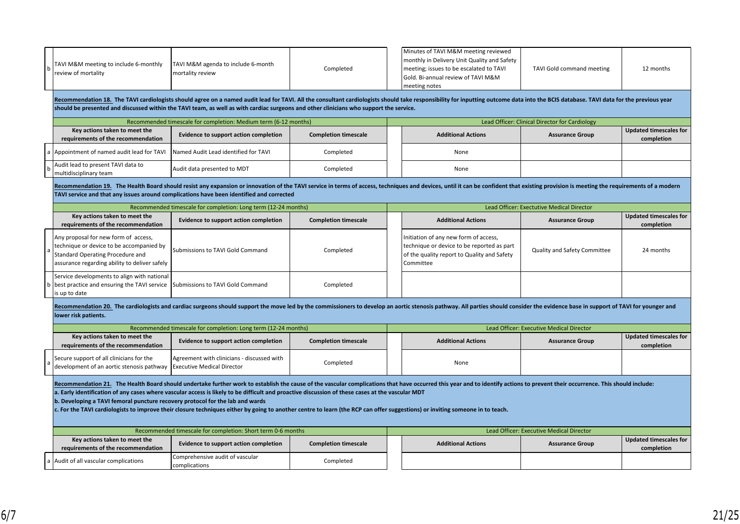|                                                                                                                                                                                                                                                                                                                                                                                                                                                                                                                                                                                                                                                     | TAVI M&M meeting to include 6-monthly<br>review of mortality                                                                                                                 | TAVI M&M agenda to include 6-month<br>mortality review<br>should be presented and discussed within the TAVI team, as well as with cardiac surgeons and other clinicians who support the service.                                                                                                                           | Completed                   | Minutes of TAVI M&M meeting reviewed<br>monthly in Delivery Unit Quality and Safety<br>meeting; issues to be escalated to TAVI<br>TAVI Gold command meeting<br>12 months<br>Gold. Bi-annual review of TAVI M&M<br>meeting notes<br>Recommendation 18. The TAVI cardiologists should agree on a named audit lead for TAVI. All the consultant cardiologists should take responsibility for inputting outcome data into the BCIS database. TAVI data for the previo<br>Lead Officer: Clinical Director for Cardiology |                                                                                                                                                 |                                           |                                             |  |  |  |  |
|-----------------------------------------------------------------------------------------------------------------------------------------------------------------------------------------------------------------------------------------------------------------------------------------------------------------------------------------------------------------------------------------------------------------------------------------------------------------------------------------------------------------------------------------------------------------------------------------------------------------------------------------------------|------------------------------------------------------------------------------------------------------------------------------------------------------------------------------|----------------------------------------------------------------------------------------------------------------------------------------------------------------------------------------------------------------------------------------------------------------------------------------------------------------------------|-----------------------------|---------------------------------------------------------------------------------------------------------------------------------------------------------------------------------------------------------------------------------------------------------------------------------------------------------------------------------------------------------------------------------------------------------------------------------------------------------------------------------------------------------------------|-------------------------------------------------------------------------------------------------------------------------------------------------|-------------------------------------------|---------------------------------------------|--|--|--|--|
|                                                                                                                                                                                                                                                                                                                                                                                                                                                                                                                                                                                                                                                     | Key actions taken to meet the                                                                                                                                                | Recommended timescale for completion: Medium term (6-12 months)                                                                                                                                                                                                                                                            |                             |                                                                                                                                                                                                                                                                                                                                                                                                                                                                                                                     | <b>Updated timescales for</b>                                                                                                                   |                                           |                                             |  |  |  |  |
|                                                                                                                                                                                                                                                                                                                                                                                                                                                                                                                                                                                                                                                     | requirements of the recommendation                                                                                                                                           | Evidence to support action completion                                                                                                                                                                                                                                                                                      | <b>Completion timescale</b> |                                                                                                                                                                                                                                                                                                                                                                                                                                                                                                                     | <b>Additional Actions</b>                                                                                                                       | <b>Assurance Group</b>                    | completion                                  |  |  |  |  |
| a                                                                                                                                                                                                                                                                                                                                                                                                                                                                                                                                                                                                                                                   | Appointment of named audit lead for TAVI                                                                                                                                     | Named Audit Lead identified for TAVI                                                                                                                                                                                                                                                                                       | Completed                   |                                                                                                                                                                                                                                                                                                                                                                                                                                                                                                                     | None                                                                                                                                            |                                           |                                             |  |  |  |  |
|                                                                                                                                                                                                                                                                                                                                                                                                                                                                                                                                                                                                                                                     | Audit lead to present TAVI data to<br>multidisciplinary team                                                                                                                 | Audit data presented to MDT                                                                                                                                                                                                                                                                                                | Completed                   |                                                                                                                                                                                                                                                                                                                                                                                                                                                                                                                     | None                                                                                                                                            |                                           |                                             |  |  |  |  |
|                                                                                                                                                                                                                                                                                                                                                                                                                                                                                                                                                                                                                                                     |                                                                                                                                                                              | Recommendation 19. The Health Board should resist any expansion or innovation of the TAVI service in terms of access, techniques and devices, until it can be confident that existing provision is meeting the requirements of<br>TAVI service and that any issues around complications have been identified and corrected |                             |                                                                                                                                                                                                                                                                                                                                                                                                                                                                                                                     |                                                                                                                                                 |                                           |                                             |  |  |  |  |
|                                                                                                                                                                                                                                                                                                                                                                                                                                                                                                                                                                                                                                                     |                                                                                                                                                                              | Recommended timescale for completion: Long term (12-24 months)                                                                                                                                                                                                                                                             |                             |                                                                                                                                                                                                                                                                                                                                                                                                                                                                                                                     |                                                                                                                                                 | Lead Officer: Exectutive Medical Director |                                             |  |  |  |  |
|                                                                                                                                                                                                                                                                                                                                                                                                                                                                                                                                                                                                                                                     | Key actions taken to meet the<br>requirements of the recommendation                                                                                                          | Evidence to support action completion                                                                                                                                                                                                                                                                                      | <b>Completion timescale</b> |                                                                                                                                                                                                                                                                                                                                                                                                                                                                                                                     | <b>Additional Actions</b>                                                                                                                       | <b>Assurance Group</b>                    | <b>Updated timescales for</b><br>completion |  |  |  |  |
|                                                                                                                                                                                                                                                                                                                                                                                                                                                                                                                                                                                                                                                     | Any proposal for new form of access,<br>technique or device to be accompanied by<br><b>Standard Operating Procedure and</b><br>assurance regarding ability to deliver safely | Submissions to TAVI Gold Command                                                                                                                                                                                                                                                                                           | Completed                   |                                                                                                                                                                                                                                                                                                                                                                                                                                                                                                                     | Initiation of any new form of access,<br>technique or device to be reported as part<br>of the quality report to Quality and Safety<br>Committee | Quality and Safety Committee              | 24 months                                   |  |  |  |  |
|                                                                                                                                                                                                                                                                                                                                                                                                                                                                                                                                                                                                                                                     | Service developments to align with national<br>best practice and ensuring the TAVI service<br>is up to date                                                                  | Submissions to TAVI Gold Command                                                                                                                                                                                                                                                                                           | Completed                   |                                                                                                                                                                                                                                                                                                                                                                                                                                                                                                                     |                                                                                                                                                 |                                           |                                             |  |  |  |  |
|                                                                                                                                                                                                                                                                                                                                                                                                                                                                                                                                                                                                                                                     | lower risk patients.                                                                                                                                                         | Recommendation 20. The cardiologists and cardiac surgeons should support the move led by the commissioners to develop an aortic stenosis pathway. All parties should consider the evidence base in support of TAVI for younger                                                                                             |                             |                                                                                                                                                                                                                                                                                                                                                                                                                                                                                                                     |                                                                                                                                                 |                                           |                                             |  |  |  |  |
|                                                                                                                                                                                                                                                                                                                                                                                                                                                                                                                                                                                                                                                     |                                                                                                                                                                              | Recommended timescale for completion: Long term (12-24 months)                                                                                                                                                                                                                                                             |                             |                                                                                                                                                                                                                                                                                                                                                                                                                                                                                                                     |                                                                                                                                                 | Lead Officer: Executive Medical Director  |                                             |  |  |  |  |
|                                                                                                                                                                                                                                                                                                                                                                                                                                                                                                                                                                                                                                                     | Key actions taken to meet the<br>requirements of the recommendation                                                                                                          | Evidence to support action completion                                                                                                                                                                                                                                                                                      | <b>Completion timescale</b> |                                                                                                                                                                                                                                                                                                                                                                                                                                                                                                                     | <b>Additional Actions</b>                                                                                                                       | <b>Assurance Group</b>                    | <b>Updated timescales for</b><br>completion |  |  |  |  |
|                                                                                                                                                                                                                                                                                                                                                                                                                                                                                                                                                                                                                                                     | Secure support of all clinicians for the<br>development of an aortic stenosis pathway   Executive Medical Director                                                           | Agreement with clinicians - discussed with                                                                                                                                                                                                                                                                                 | Completed                   |                                                                                                                                                                                                                                                                                                                                                                                                                                                                                                                     | None                                                                                                                                            |                                           |                                             |  |  |  |  |
| Recommendation 21. The Health Board should undertake further work to establish the cause of the vascular complications that have occurred this year and to identify actions to prevent their occurrence. This should include:<br>a. Early identification of any cases where vascular access is likely to be difficult and proactive discussion of these cases at the vascular MDT<br>b. Developing a TAVI femoral puncture recovery protocol for the lab and wards<br>c. For the TAVI cardiologists to improve their closure techniques either by going to another centre to learn (the RCP can offer suggestions) or inviting someone in to teach. |                                                                                                                                                                              |                                                                                                                                                                                                                                                                                                                            |                             |                                                                                                                                                                                                                                                                                                                                                                                                                                                                                                                     |                                                                                                                                                 |                                           |                                             |  |  |  |  |
|                                                                                                                                                                                                                                                                                                                                                                                                                                                                                                                                                                                                                                                     | Recommended timescale for completion: Short term 0-6 months                                                                                                                  |                                                                                                                                                                                                                                                                                                                            |                             |                                                                                                                                                                                                                                                                                                                                                                                                                                                                                                                     |                                                                                                                                                 | Lead Officer: Executive Medical Director  |                                             |  |  |  |  |
|                                                                                                                                                                                                                                                                                                                                                                                                                                                                                                                                                                                                                                                     | Key actions taken to meet the<br>requirements of the recommendation                                                                                                          | Evidence to support action completion                                                                                                                                                                                                                                                                                      | <b>Completion timescale</b> |                                                                                                                                                                                                                                                                                                                                                                                                                                                                                                                     | <b>Additional Actions</b>                                                                                                                       | <b>Assurance Group</b>                    | <b>Updated timescales for</b><br>completion |  |  |  |  |
| a                                                                                                                                                                                                                                                                                                                                                                                                                                                                                                                                                                                                                                                   | Audit of all vascular complications                                                                                                                                          | Comprehensive audit of vascular<br>complications                                                                                                                                                                                                                                                                           | Completed                   |                                                                                                                                                                                                                                                                                                                                                                                                                                                                                                                     |                                                                                                                                                 |                                           |                                             |  |  |  |  |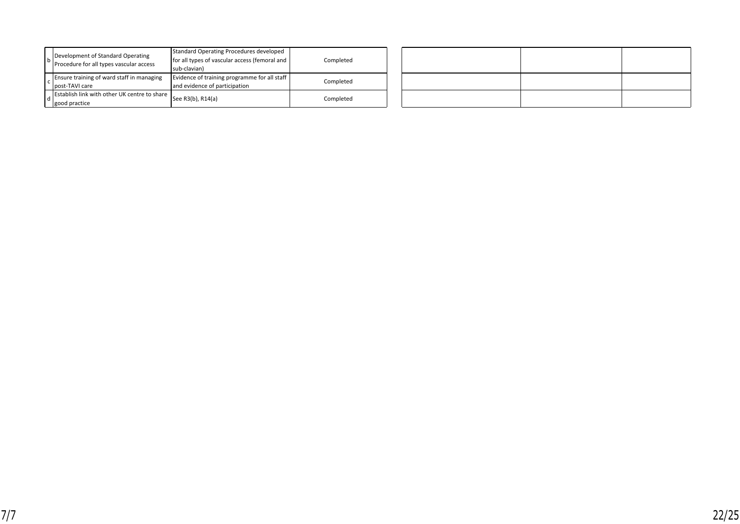|  | Development of Standard Operating<br>Procedure for all types vascular access | <b>Standard Operating Procedures developed</b><br>for all types of vascular access (femoral and<br>sub-clavian) | Completed |
|--|------------------------------------------------------------------------------|-----------------------------------------------------------------------------------------------------------------|-----------|
|  | Ensure training of ward staff in managing<br>post-TAVI care                  | Evidence of training programme for all staff<br>and evidence of participation                                   | Completed |
|  | Establish link with other UK centre to share<br>good practice                | See R3(b), R14(a)                                                                                               | Completed |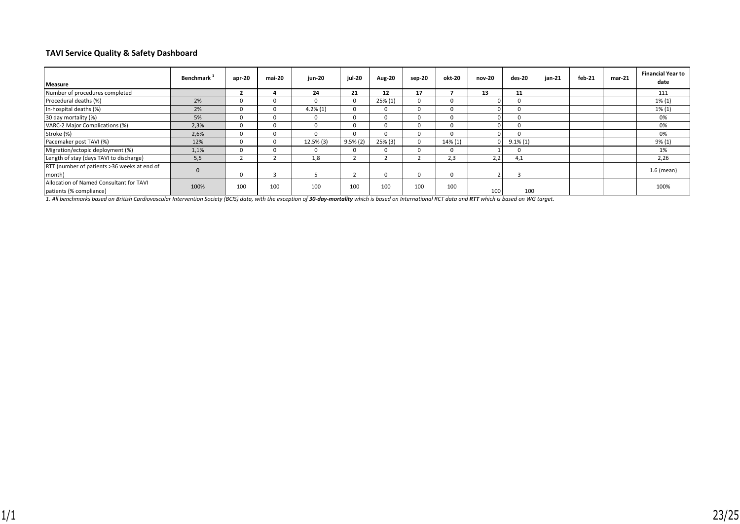#### **TAVI Service Quality & Safety Dashboard**

| Measure                                                            | Benchmark <sup>1</sup> | $apr-20$ | mai-20 | jun-20     | jul-20     | <b>Aug-20</b> | sep-20   | okt-20  | nov-20 | des-20       | jan-21 | feb-21 | $mar-21$ | <b>Financial Year to</b><br>date |
|--------------------------------------------------------------------|------------------------|----------|--------|------------|------------|---------------|----------|---------|--------|--------------|--------|--------|----------|----------------------------------|
| Number of procedures completed                                     |                        |          |        | 24         | 21         | 12            | 17       |         | 13     | 11           |        |        |          | 111                              |
| Procedural deaths (%)                                              | 2%                     |          |        |            | 0          | $25\%(1)$     | $\Omega$ |         |        | $\Omega$     |        |        |          | $1\% (1)$                        |
| In-hospital deaths (%)                                             | 2%                     |          |        | $4.2\%(1)$ | 0          | $\Omega$      |          |         |        | <sup>0</sup> |        |        |          | $1\% (1)$                        |
| 30 day mortality (%)                                               | 5%                     |          |        | 0          | 0          | $\Omega$      |          |         |        | $\Omega$     |        |        |          | 0%                               |
| VARC-2 Major Complications (%)                                     | 2,3%                   |          |        |            | 0          | $\Omega$      |          |         |        | 0            |        |        |          | 0%                               |
| Stroke (%)                                                         | 2,6%                   |          |        |            | 0          | n             |          |         |        | 0            |        |        |          | 0%                               |
| Pacemaker post TAVI (%)                                            | 12%                    |          |        | 12.5% (3)  | $9.5\%(2)$ | 25% (3)       |          | 14% (1) |        | $9.1\%(1)$   |        |        |          | $9\% (1)$                        |
| Migration/ectopic deployment (%)                                   | 1,1%                   |          |        | U          | 0.         | $\Omega$      |          |         |        | 0            |        |        |          | 1%                               |
| Length of stay (days TAVI to discharge)                            | 5,5                    |          |        | 1,8        |            |               |          | 2,3     | 2,2    | 4,1          |        |        |          | 2,26                             |
| RTT (number of patients >36 weeks at end of<br>month)              |                        | 0        |        |            |            | $\Omega$      | $\Omega$ |         |        |              |        |        |          | 1.6 (mean)                       |
| Allocation of Named Consultant for TAVI<br>patients (% compliance) | 100%                   | 100      | 100    | 100        | 100        | 100           | 100      | 100     | 100    | 100          |        |        |          | 100%                             |

1. All benchmarks based on British Cardiovascular Intervention Society (BCIS) data, with the exception of **30-day-mortality** which is based on International RCT data and **RTT** which is based on WG target.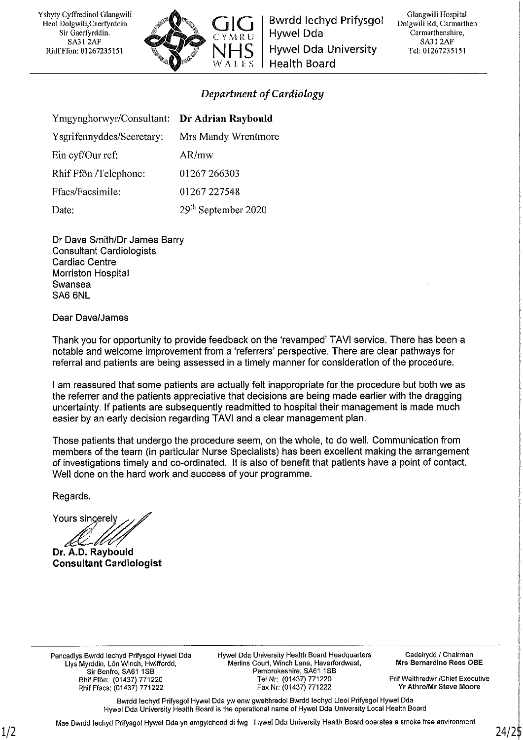Ysbyty Cyffredinol Glangwili Heol Dolgwili, Caerfyrddin Sir Gaerfyrddin. **SA31 2AF** Rhif Ffon: 01267235151



Bwrdd lechyd Prifysgol Hywel Dda **Hywel Dda University Health Board** 

Glangwili Hospital Dolgwili Rd, Carmarthen Carmarthenshire, **SA31 2AF** Tel: 01267235151

#### Department of Cardiology

| Ymgynghorwyr/Consultant: Dr Adrian Raybould |                                 |
|---------------------------------------------|---------------------------------|
| Ysgrifennyddes/Secretary:                   | Mrs Mandy Wrentmore             |
| Ein cyf/Our ref:                            | AR/mw                           |
| Rhif Ffôn /Telephone:                       | 01267 266303                    |
| Ffacs/Facsimile:                            | 01267 227548                    |
| Date:                                       | 29 <sup>th</sup> September 2020 |

Dr Dave Smith/Dr James Barry **Consultant Cardiologists Cardiac Centre** Morriston Hospital Swansea SA6 6NL

Dear Dave/James

Thank you for opportunity to provide feedback on the 'revamped' TAVI service. There has been a notable and welcome improvement from a 'referrers' perspective. There are clear pathways for referral and patients are being assessed in a timely manner for consideration of the procedure.

I am reassured that some patients are actually felt inappropriate for the procedure but both we as the referrer and the patients appreciative that decisions are being made earlier with the dragging uncertainty. If patients are subsequently readmitted to hospital their management is made much easier by an early decision regarding TAVI and a clear management plan.

Those patients that undergo the procedure seem, on the whole, to do well. Communication from members of the team (in particular Nurse Specialists) has been excellent making the arrangement of investigations timely and co-ordinated. It is also of benefit that patients have a point of contact. Well done on the hard work and success of your programme.

Regards.

Yours sincerely

Dr. A.D. Raybould **Consultant Cardiologist** 

Pencadlys Bwrdd lechyd Prifysgol Hywel Dda Llys Myrddin, Lôn Winch, Hwlffordd, Sir Benfro, SA61 1SB Rhif Ffôn: (01437) 771220 Rhif Ffacs: (01437) 771222

Hywel Dda University Health Board Headquarters Merlins Court, Winch Lane, Haverfordwest, Pembrokeshire, SA61 1SB Tel Nr: (01437) 771220 Fax Nr: (01437) 771222

Cadeirydd / Chairman Mrs Bernardine Rees OBE

Prif Weithredwr /Chief Executive Yr Athro/Mr Steve Moore

Bwrdd lechyd Prifysgol Hywel Dda yw enw gweithredol Bwrdd lechyd Lleol Prifysgol Hywel Dda Hywel Dda University Health Board is the operational name of Hywel Dda University Local Health Board

Mae Bwrdd lechyd Prifysgol Hywel Dda yn amgylchedd di-fwg Hywel Dda University Health Board operates a smoke free environment